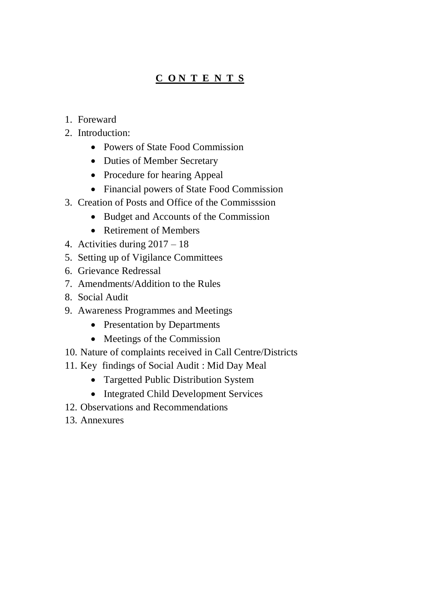# **C O N T E N T S**

- 1. Foreward
- 2. Introduction:
	- Powers of State Food Commission
	- Duties of Member Secretary
	- Procedure for hearing Appeal
	- Financial powers of State Food Commission
- 3. Creation of Posts and Office of the Commisssion
	- Budget and Accounts of the Commission
	- Retirement of Members
- 4. Activities during 2017 18
- 5. Setting up of Vigilance Committees
- 6. Grievance Redressal
- 7. Amendments/Addition to the Rules
- 8. Social Audit
- 9. Awareness Programmes and Meetings
	- Presentation by Departments
	- Meetings of the Commission
- 10. Nature of complaints received in Call Centre/Districts
- 11. Key findings of Social Audit : Mid Day Meal
	- Targetted Public Distribution System
	- Integrated Child Development Services
- 12. Observations and Recommendations
- 13. Annexures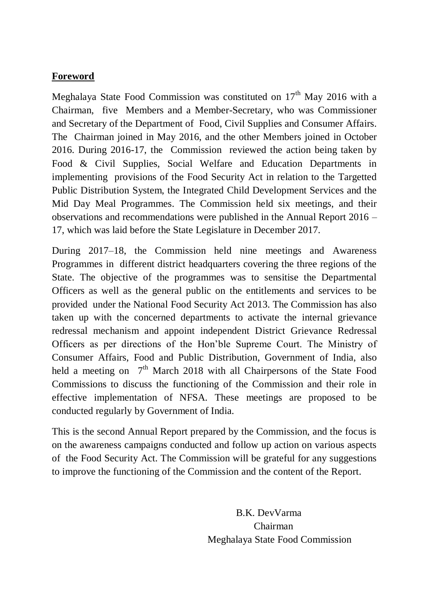# **Foreword**

Meghalaya State Food Commission was constituted on  $17<sup>th</sup>$  May 2016 with a Chairman, five Members and a Member-Secretary, who was Commissioner and Secretary of the Department of Food, Civil Supplies and Consumer Affairs. The Chairman joined in May 2016, and the other Members joined in October 2016. During 2016-17, the Commission reviewed the action being taken by Food & Civil Supplies, Social Welfare and Education Departments in implementing provisions of the Food Security Act in relation to the Targetted Public Distribution System, the Integrated Child Development Services and the Mid Day Meal Programmes. The Commission held six meetings, and their observations and recommendations were published in the Annual Report 2016 – 17, which was laid before the State Legislature in December 2017.

During 2017–18, the Commission held nine meetings and Awareness Programmes in different district headquarters covering the three regions of the State. The objective of the programmes was to sensitise the Departmental Officers as well as the general public on the entitlements and services to be provided under the National Food Security Act 2013. The Commission has also taken up with the concerned departments to activate the internal grievance redressal mechanism and appoint independent District Grievance Redressal Officers as per directions of the Hon'ble Supreme Court. The Ministry of Consumer Affairs, Food and Public Distribution, Government of India, also held a meeting on  $7<sup>th</sup>$  March 2018 with all Chairpersons of the State Food Commissions to discuss the functioning of the Commission and their role in effective implementation of NFSA. These meetings are proposed to be conducted regularly by Government of India.

This is the second Annual Report prepared by the Commission, and the focus is on the awareness campaigns conducted and follow up action on various aspects of the Food Security Act. The Commission will be grateful for any suggestions to improve the functioning of the Commission and the content of the Report.

> B.K. DevVarma Chairman Meghalaya State Food Commission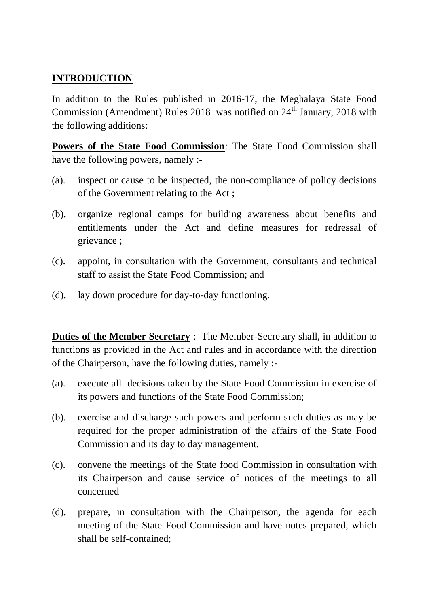# **INTRODUCTION**

In addition to the Rules published in 2016-17, the Meghalaya State Food Commission (Amendment) Rules 2018 was notified on  $24<sup>th</sup>$  January, 2018 with the following additions:

**Powers of the State Food Commission**: The State Food Commission shall have the following powers, namely :-

- (a). inspect or cause to be inspected, the non-compliance of policy decisions of the Government relating to the Act ;
- (b). organize regional camps for building awareness about benefits and entitlements under the Act and define measures for redressal of grievance ;
- (c). appoint, in consultation with the Government, consultants and technical staff to assist the State Food Commission; and
- (d). lay down procedure for day-to-day functioning.

**Duties of the Member Secretary** : The Member-Secretary shall, in addition to functions as provided in the Act and rules and in accordance with the direction of the Chairperson, have the following duties, namely :-

- (a). execute all decisions taken by the State Food Commission in exercise of its powers and functions of the State Food Commission;
- (b). exercise and discharge such powers and perform such duties as may be required for the proper administration of the affairs of the State Food Commission and its day to day management.
- (c). convene the meetings of the State food Commission in consultation with its Chairperson and cause service of notices of the meetings to all concerned
- (d). prepare, in consultation with the Chairperson, the agenda for each meeting of the State Food Commission and have notes prepared, which shall be self-contained;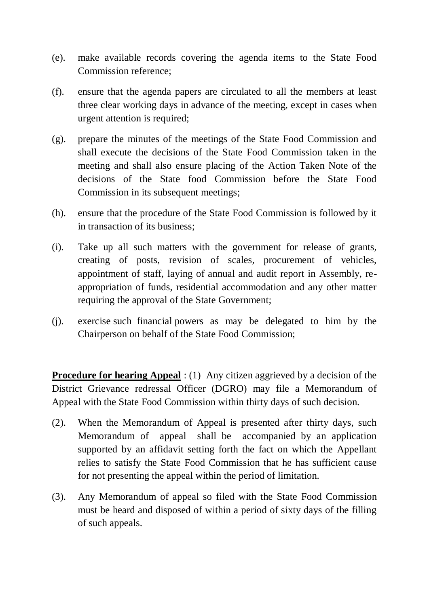- (e). make available records covering the agenda items to the State Food Commission reference;
- (f). ensure that the agenda papers are circulated to all the members at least three clear working days in advance of the meeting, except in cases when urgent attention is required;
- (g). prepare the minutes of the meetings of the State Food Commission and shall execute the decisions of the State Food Commission taken in the meeting and shall also ensure placing of the Action Taken Note of the decisions of the State food Commission before the State Food Commission in its subsequent meetings;
- (h). ensure that the procedure of the State Food Commission is followed by it in transaction of its business;
- (i). Take up all such matters with the government for release of grants, creating of posts, revision of scales, procurement of vehicles, appointment of staff, laying of annual and audit report in Assembly, reappropriation of funds, residential accommodation and any other matter requiring the approval of the State Government;
- (j). exercise such financial powers as may be delegated to him by the Chairperson on behalf of the State Food Commission;

**Procedure for hearing Appeal** : (1) Any citizen aggrieved by a decision of the District Grievance redressal Officer (DGRO) may file a Memorandum of Appeal with the State Food Commission within thirty days of such decision.

- (2). When the Memorandum of Appeal is presented after thirty days, such Memorandum of appeal shall be accompanied by an application supported by an affidavit setting forth the fact on which the Appellant relies to satisfy the State Food Commission that he has sufficient cause for not presenting the appeal within the period of limitation.
- (3). Any Memorandum of appeal so filed with the State Food Commission must be heard and disposed of within a period of sixty days of the filling of such appeals.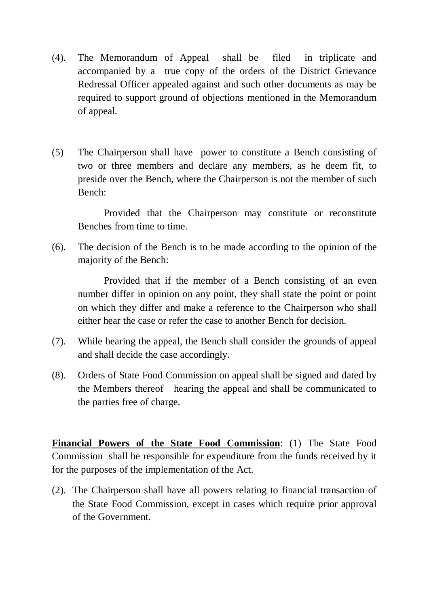- (4). The Memorandum of Appeal shall be filed in triplicate and accompanied by a true copy of the orders of the District Grievance Redressal Officer appealed against and such other documents as may be required to support ground of objections mentioned in the Memorandum of appeal.
- (5) The Chairperson shall have power to constitute a Bench consisting of two or three members and declare any members, as he deem fit, to preside over the Bench, where the Chairperson is not the member of such Bench:

Provided that the Chairperson may constitute or reconstitute Benches from time to time.

(6). The decision of the Bench is to be made according to the opinion of the majority of the Bench:

Provided that if the member of a Bench consisting of an even number differ in opinion on any point, they shall state the point or point on which they differ and make a reference to the Chairperson who shall either hear the case or refer the case to another Bench for decision.

- (7). While hearing the appeal, the Bench shall consider the grounds of appeal and shall decide the case accordingly.
- (8). Orders of State Food Commission on appeal shall be signed and dated by the Members thereof hearing the appeal and shall be communicated to the parties free of charge.

**Financial Powers of the State Food Commission**: (1) The State Food Commission shall be responsible for expenditure from the funds received by it for the purposes of the implementation of the Act.

(2). The Chairperson shall have all powers relating to financial transaction of the State Food Commission, except in cases which require prior approval of the Government.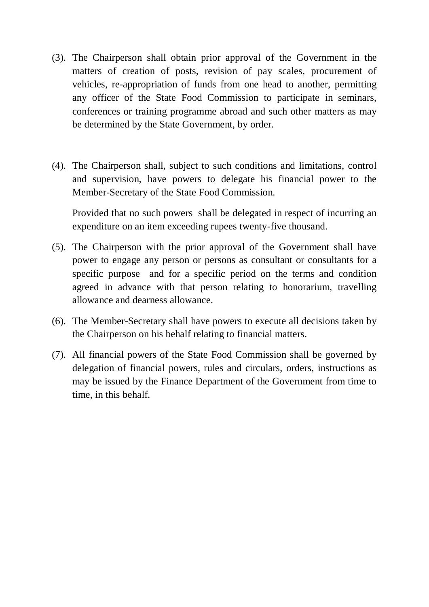- (3). The Chairperson shall obtain prior approval of the Government in the matters of creation of posts, revision of pay scales, procurement of vehicles, re-appropriation of funds from one head to another, permitting any officer of the State Food Commission to participate in seminars, conferences or training programme abroad and such other matters as may be determined by the State Government, by order.
- (4). The Chairperson shall, subject to such conditions and limitations, control and supervision, have powers to delegate his financial power to the Member-Secretary of the State Food Commission.

Provided that no such powers shall be delegated in respect of incurring an expenditure on an item exceeding rupees twenty-five thousand.

- (5). The Chairperson with the prior approval of the Government shall have power to engage any person or persons as consultant or consultants for a specific purpose and for a specific period on the terms and condition agreed in advance with that person relating to honorarium, travelling allowance and dearness allowance.
- (6). The Member-Secretary shall have powers to execute all decisions taken by the Chairperson on his behalf relating to financial matters.
- (7). All financial powers of the State Food Commission shall be governed by delegation of financial powers, rules and circulars, orders, instructions as may be issued by the Finance Department of the Government from time to time, in this behalf.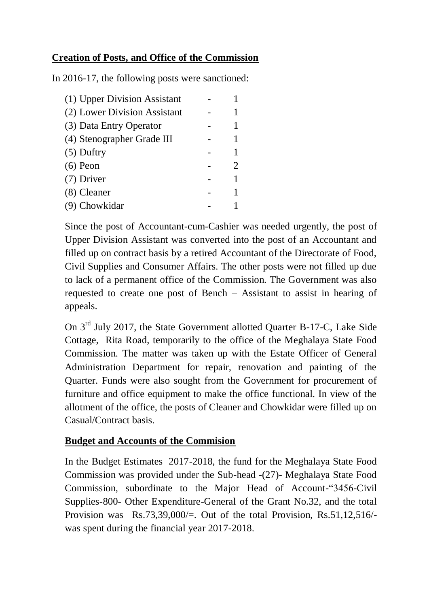# **Creation of Posts, and Office of the Commission**

In 2016-17, the following posts were sanctioned:

| (1) Upper Division Assistant |  |
|------------------------------|--|
| (2) Lower Division Assistant |  |
| (3) Data Entry Operator      |  |
| (4) Stenographer Grade III   |  |
| $(5)$ Duftry                 |  |
| $(6)$ Peon                   |  |
| (7) Driver                   |  |
| (8) Cleaner                  |  |
| (9) Chowkidar                |  |

Since the post of Accountant-cum-Cashier was needed urgently, the post of Upper Division Assistant was converted into the post of an Accountant and filled up on contract basis by a retired Accountant of the Directorate of Food, Civil Supplies and Consumer Affairs. The other posts were not filled up due to lack of a permanent office of the Commission. The Government was also requested to create one post of Bench – Assistant to assist in hearing of appeals.

On 3rd July 2017, the State Government allotted Quarter B-17-C, Lake Side Cottage, Rita Road, temporarily to the office of the Meghalaya State Food Commission. The matter was taken up with the Estate Officer of General Administration Department for repair, renovation and painting of the Quarter. Funds were also sought from the Government for procurement of furniture and office equipment to make the office functional. In view of the allotment of the office, the posts of Cleaner and Chowkidar were filled up on Casual/Contract basis.

### **Budget and Accounts of the Commision**

In the Budget Estimates 2017-2018, the fund for the Meghalaya State Food Commission was provided under the Sub-head -(27)- Meghalaya State Food Commission, subordinate to the Major Head of Account-"3456-Civil Supplies-800- Other Expenditure-General of the Grant No.32, and the total Provision was Rs.73,39,000/=. Out of the total Provision, Rs.51,12,516/ was spent during the financial year 2017-2018.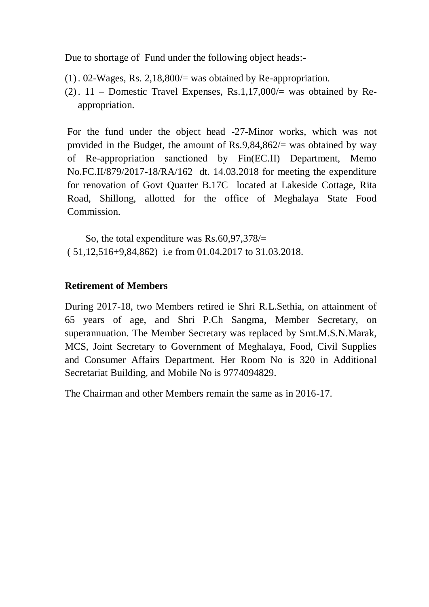Due to shortage of Fund under the following object heads:-

- (1). 02-Wages, Rs. 2,18,800/= was obtained by Re-appropriation.
- (2).  $11$  Domestic Travel Expenses, Rs.1,17,000/= was obtained by Reappropriation.

For the fund under the object head -27-Minor works, which was not provided in the Budget, the amount of  $\text{Rs.}9,84,862/=\text{was obtained by way}$ of Re-appropriation sanctioned by Fin(EC.II) Department, Memo No.FC.II/879/2017-18/RA/162 dt. 14.03.2018 for meeting the expenditure for renovation of Govt Quarter B.17C located at Lakeside Cottage, Rita Road, Shillong, allotted for the office of Meghalaya State Food Commission.

 So, the total expenditure was Rs.60,97,378/= ( 51,12,516+9,84,862) i.e from 01.04.2017 to 31.03.2018.

### **Retirement of Members**

During 2017-18, two Members retired ie Shri R.L.Sethia, on attainment of 65 years of age, and Shri P.Ch Sangma, Member Secretary, on superannuation. The Member Secretary was replaced by Smt.M.S.N.Marak, MCS, Joint Secretary to Government of Meghalaya, Food, Civil Supplies and Consumer Affairs Department. Her Room No is 320 in Additional Secretariat Building, and Mobile No is 9774094829.

The Chairman and other Members remain the same as in 2016-17.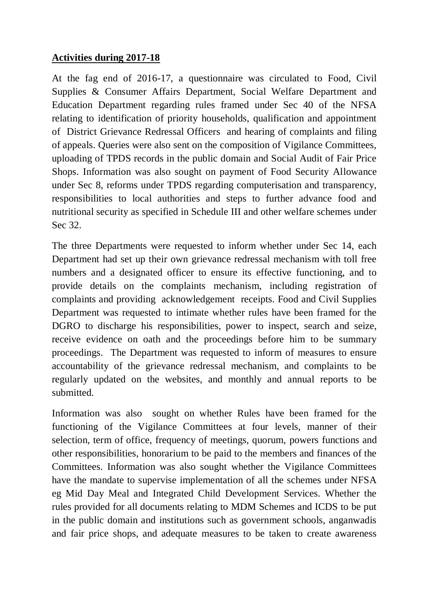### **Activities during 2017-18**

At the fag end of 2016-17, a questionnaire was circulated to Food, Civil Supplies & Consumer Affairs Department, Social Welfare Department and Education Department regarding rules framed under Sec 40 of the NFSA relating to identification of priority households, qualification and appointment of District Grievance Redressal Officers and hearing of complaints and filing of appeals. Queries were also sent on the composition of Vigilance Committees, uploading of TPDS records in the public domain and Social Audit of Fair Price Shops. Information was also sought on payment of Food Security Allowance under Sec 8, reforms under TPDS regarding computerisation and transparency, responsibilities to local authorities and steps to further advance food and nutritional security as specified in Schedule III and other welfare schemes under Sec 32.

The three Departments were requested to inform whether under Sec 14, each Department had set up their own grievance redressal mechanism with toll free numbers and a designated officer to ensure its effective functioning, and to provide details on the complaints mechanism, including registration of complaints and providing acknowledgement receipts. Food and Civil Supplies Department was requested to intimate whether rules have been framed for the DGRO to discharge his responsibilities, power to inspect, search and seize, receive evidence on oath and the proceedings before him to be summary proceedings. The Department was requested to inform of measures to ensure accountability of the grievance redressal mechanism, and complaints to be regularly updated on the websites, and monthly and annual reports to be submitted.

Information was also sought on whether Rules have been framed for the functioning of the Vigilance Committees at four levels, manner of their selection, term of office, frequency of meetings, quorum, powers functions and other responsibilities, honorarium to be paid to the members and finances of the Committees. Information was also sought whether the Vigilance Committees have the mandate to supervise implementation of all the schemes under NFSA eg Mid Day Meal and Integrated Child Development Services. Whether the rules provided for all documents relating to MDM Schemes and ICDS to be put in the public domain and institutions such as government schools, anganwadis and fair price shops, and adequate measures to be taken to create awareness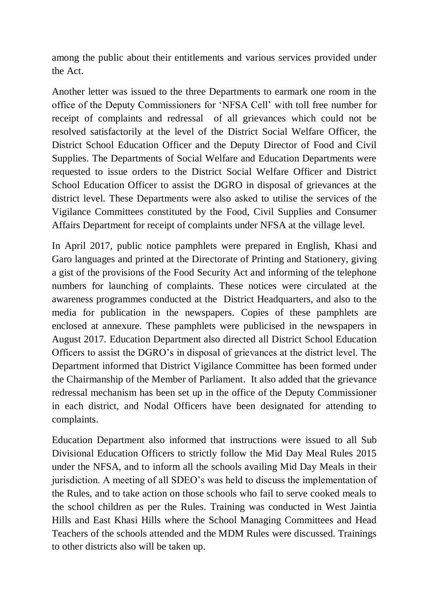among the public about their entitlements and various services provided under the Act.

Another letter was issued to the three Departments to earmark one room in the office of the Deputy Commissioners for 'NFSA Cell' with toll free number for receipt of complaints and redressal of all grievances which could not be resolved satisfactorily at the level of the District Social Welfare Officer, the District School Education Officer and the Deputy Director of Food and Civil Supplies. The Departments of Social Welfare and Education Departments were requested to issue orders to the District Social Welfare Officer and District School Education Officer to assist the DGRO in disposal of grievances at the district level. These Departments were also asked to utilise the services of the Vigilance Committees constituted by the Food, Civil Supplies and Consumer Affairs Department for receipt of complaints under NFSA at the village level.

In April 2017, public notice pamphlets were prepared in English, Khasi and Garo languages and printed at the Directorate of Printing and Stationery, giving a gist of the provisions of the Food Security Act and informing of the telephone numbers for launching of complaints. These notices were circulated at the awareness programmes conducted at the District Headquarters, and also to the media for publication in the newspapers. Copies of these pamphlets are enclosed at annexure. These pamphlets were publicised in the newspapers in August 2017. Education Department also directed all District School Education Officers to assist the DGRO's in disposal of grievances at the district level. The Department informed that District Vigilance Committee has been formed under the Chairmanship of the Member of Parliament. It also added that the grievance redressal mechanism has been set up in the office of the Deputy Commissioner in each district, and Nodal Officers have been designated for attending to complaints.

Education Department also informed that instructions were issued to all Sub Divisional Education Officers to strictly follow the Mid Day Meal Rules 2015 under the NFSA, and to inform all the schools availing Mid Day Meals in their jurisdiction. A meeting of all SDEO's was held to discuss the implementation of the Rules, and to take action on those schools who fail to serve cooked meals to the school children as per the Rules. Training was conducted in West Jaintia Hills and East Khasi Hills where the School Managing Committees and Head Teachers of the schools attended and the MDM Rules were discussed. Trainings to other districts also will be taken up.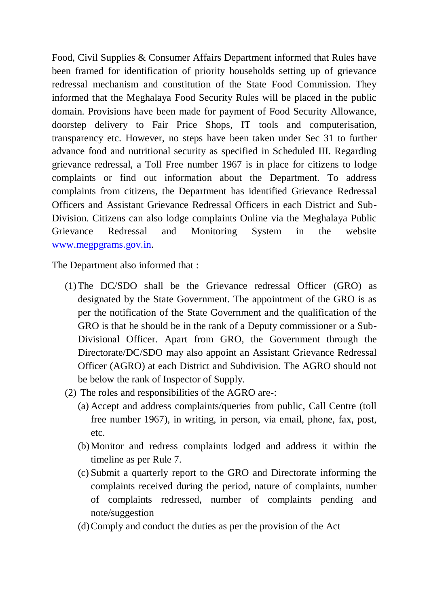Food, Civil Supplies & Consumer Affairs Department informed that Rules have been framed for identification of priority households setting up of grievance redressal mechanism and constitution of the State Food Commission. They informed that the Meghalaya Food Security Rules will be placed in the public domain. Provisions have been made for payment of Food Security Allowance, doorstep delivery to Fair Price Shops, IT tools and computerisation, transparency etc. However, no steps have been taken under Sec 31 to further advance food and nutritional security as specified in Scheduled III. Regarding grievance redressal, a Toll Free number 1967 is in place for citizens to lodge complaints or find out information about the Department. To address complaints from citizens, the Department has identified Grievance Redressal Officers and Assistant Grievance Redressal Officers in each District and Sub-Division. Citizens can also lodge complaints Online via the Meghalaya Public Grievance Redressal and Monitoring System in the website [www.megpgrams.gov.in.](http://www.megpgrams.gov.in/)

The Department also informed that :

- (1)The DC/SDO shall be the Grievance redressal Officer (GRO) as designated by the State Government. The appointment of the GRO is as per the notification of the State Government and the qualification of the GRO is that he should be in the rank of a Deputy commissioner or a Sub-Divisional Officer. Apart from GRO, the Government through the Directorate/DC/SDO may also appoint an Assistant Grievance Redressal Officer (AGRO) at each District and Subdivision. The AGRO should not be below the rank of Inspector of Supply.
- (2) The roles and responsibilities of the AGRO are-:
	- (a) Accept and address complaints/queries from public, Call Centre (toll free number 1967), in writing, in person, via email, phone, fax, post, etc.
	- (b)Monitor and redress complaints lodged and address it within the timeline as per Rule 7.
	- (c) Submit a quarterly report to the GRO and Directorate informing the complaints received during the period, nature of complaints, number of complaints redressed, number of complaints pending and note/suggestion
	- (d)Comply and conduct the duties as per the provision of the Act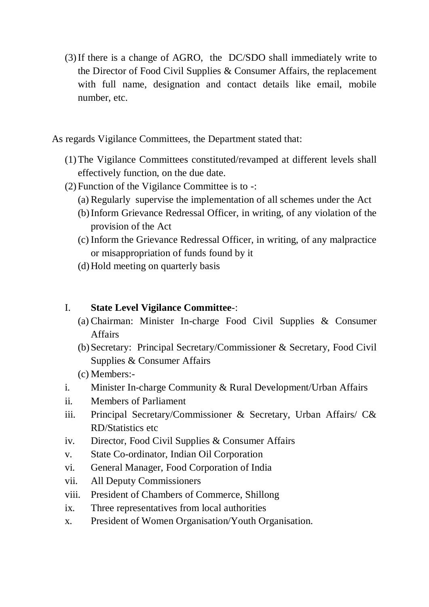(3)If there is a change of AGRO, the DC/SDO shall immediately write to the Director of Food Civil Supplies & Consumer Affairs, the replacement with full name, designation and contact details like email, mobile number, etc.

As regards Vigilance Committees, the Department stated that:

- (1)The Vigilance Committees constituted/revamped at different levels shall effectively function, on the due date.
- (2)Function of the Vigilance Committee is to -:
	- (a) Regularly supervise the implementation of all schemes under the Act
	- (b)Inform Grievance Redressal Officer, in writing, of any violation of the provision of the Act
	- (c) Inform the Grievance Redressal Officer, in writing, of any malpractice or misappropriation of funds found by it
	- (d)Hold meeting on quarterly basis

#### I. **State Level Vigilance Committee**-:

- (a) Chairman: Minister In-charge Food Civil Supplies & Consumer Affairs
- (b)Secretary: Principal Secretary/Commissioner & Secretary, Food Civil Supplies & Consumer Affairs
- (c) Members:-
- i. Minister In-charge Community & Rural Development/Urban Affairs
- ii. Members of Parliament
- iii. Principal Secretary/Commissioner & Secretary, Urban Affairs/ C& RD/Statistics etc
- iv. Director, Food Civil Supplies & Consumer Affairs
- v. State Co-ordinator, Indian Oil Corporation
- vi. General Manager, Food Corporation of India
- vii. All Deputy Commissioners
- viii. President of Chambers of Commerce, Shillong
- ix. Three representatives from local authorities
- x. President of Women Organisation/Youth Organisation.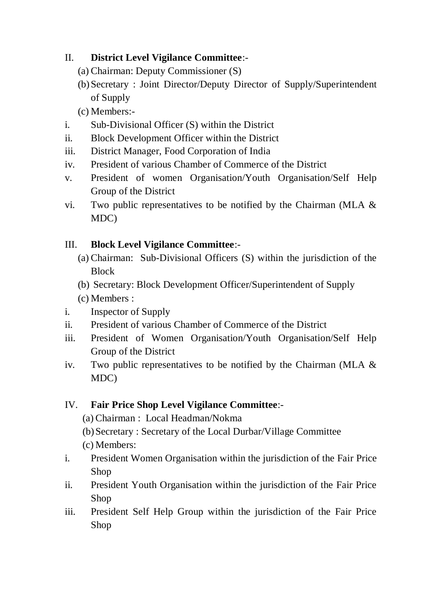# II. **District Level Vigilance Committee**:-

- (a) Chairman: Deputy Commissioner (S)
- (b)Secretary : Joint Director/Deputy Director of Supply/Superintendent of Supply

(c) Members:-

- i. Sub-Divisional Officer (S) within the District
- ii. Block Development Officer within the District
- iii. District Manager, Food Corporation of India
- iv. President of various Chamber of Commerce of the District
- v. President of women Organisation/Youth Organisation/Self Help Group of the District
- vi. Two public representatives to be notified by the Chairman (MLA & MDC)

# III. **Block Level Vigilance Committee**:-

- (a) Chairman: Sub-Divisional Officers (S) within the jurisdiction of the **Block**
- (b) Secretary: Block Development Officer/Superintendent of Supply
- (c) Members :
- i. Inspector of Supply
- ii. President of various Chamber of Commerce of the District
- iii. President of Women Organisation/Youth Organisation/Self Help Group of the District
- iv. Two public representatives to be notified by the Chairman (MLA  $\&$ MDC)

# IV. **Fair Price Shop Level Vigilance Committee**:-

- (a) Chairman : Local Headman/Nokma
- (b)Secretary : Secretary of the Local Durbar/Village Committee

(c) Members:

- i. President Women Organisation within the jurisdiction of the Fair Price Shop
- ii. President Youth Organisation within the jurisdiction of the Fair Price Shop
- iii. President Self Help Group within the jurisdiction of the Fair Price Shop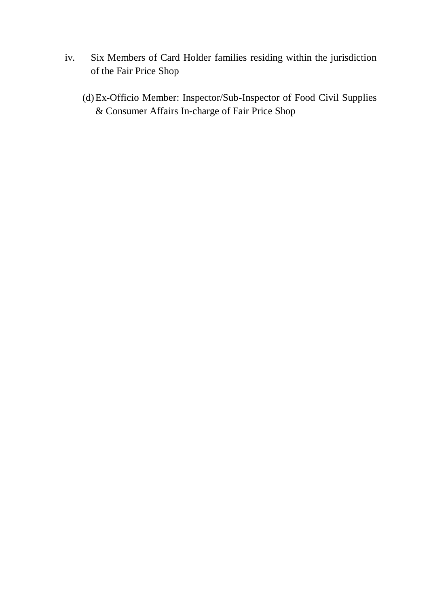- iv. Six Members of Card Holder families residing within the jurisdiction of the Fair Price Shop
	- (d)Ex-Officio Member: Inspector/Sub-Inspector of Food Civil Supplies & Consumer Affairs In-charge of Fair Price Shop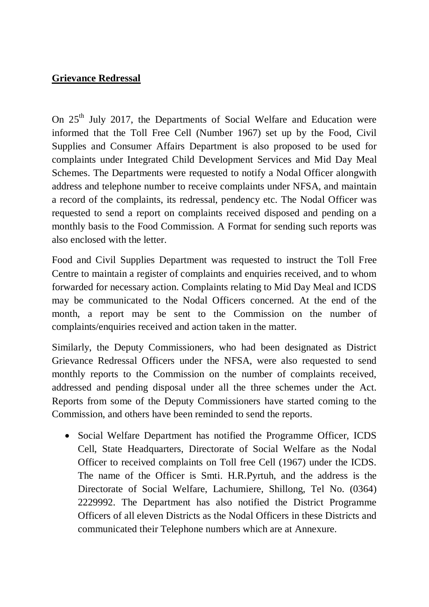### **Grievance Redressal**

On 25<sup>th</sup> July 2017, the Departments of Social Welfare and Education were informed that the Toll Free Cell (Number 1967) set up by the Food, Civil Supplies and Consumer Affairs Department is also proposed to be used for complaints under Integrated Child Development Services and Mid Day Meal Schemes. The Departments were requested to notify a Nodal Officer alongwith address and telephone number to receive complaints under NFSA, and maintain a record of the complaints, its redressal, pendency etc. The Nodal Officer was requested to send a report on complaints received disposed and pending on a monthly basis to the Food Commission. A Format for sending such reports was also enclosed with the letter.

Food and Civil Supplies Department was requested to instruct the Toll Free Centre to maintain a register of complaints and enquiries received, and to whom forwarded for necessary action. Complaints relating to Mid Day Meal and ICDS may be communicated to the Nodal Officers concerned. At the end of the month, a report may be sent to the Commission on the number of complaints/enquiries received and action taken in the matter.

Similarly, the Deputy Commissioners, who had been designated as District Grievance Redressal Officers under the NFSA, were also requested to send monthly reports to the Commission on the number of complaints received, addressed and pending disposal under all the three schemes under the Act. Reports from some of the Deputy Commissioners have started coming to the Commission, and others have been reminded to send the reports.

• Social Welfare Department has notified the Programme Officer, ICDS Cell, State Headquarters, Directorate of Social Welfare as the Nodal Officer to received complaints on Toll free Cell (1967) under the ICDS. The name of the Officer is Smti. H.R.Pyrtuh, and the address is the Directorate of Social Welfare, Lachumiere, Shillong, Tel No. (0364) 2229992. The Department has also notified the District Programme Officers of all eleven Districts as the Nodal Officers in these Districts and communicated their Telephone numbers which are at Annexure.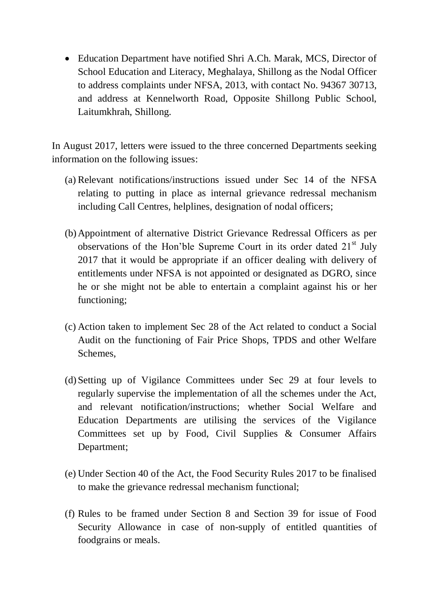• Education Department have notified Shri A.Ch. Marak, MCS, Director of School Education and Literacy, Meghalaya, Shillong as the Nodal Officer to address complaints under NFSA, 2013, with contact No. 94367 30713, and address at Kennelworth Road, Opposite Shillong Public School, Laitumkhrah, Shillong.

In August 2017, letters were issued to the three concerned Departments seeking information on the following issues:

- (a) Relevant notifications/instructions issued under Sec 14 of the NFSA relating to putting in place as internal grievance redressal mechanism including Call Centres, helplines, designation of nodal officers;
- (b)Appointment of alternative District Grievance Redressal Officers as per observations of the Hon'ble Supreme Court in its order dated 21<sup>st</sup> July 2017 that it would be appropriate if an officer dealing with delivery of entitlements under NFSA is not appointed or designated as DGRO, since he or she might not be able to entertain a complaint against his or her functioning;
- (c) Action taken to implement Sec 28 of the Act related to conduct a Social Audit on the functioning of Fair Price Shops, TPDS and other Welfare Schemes,
- (d)Setting up of Vigilance Committees under Sec 29 at four levels to regularly supervise the implementation of all the schemes under the Act, and relevant notification/instructions; whether Social Welfare and Education Departments are utilising the services of the Vigilance Committees set up by Food, Civil Supplies & Consumer Affairs Department;
- (e) Under Section 40 of the Act, the Food Security Rules 2017 to be finalised to make the grievance redressal mechanism functional;
- (f) Rules to be framed under Section 8 and Section 39 for issue of Food Security Allowance in case of non-supply of entitled quantities of foodgrains or meals.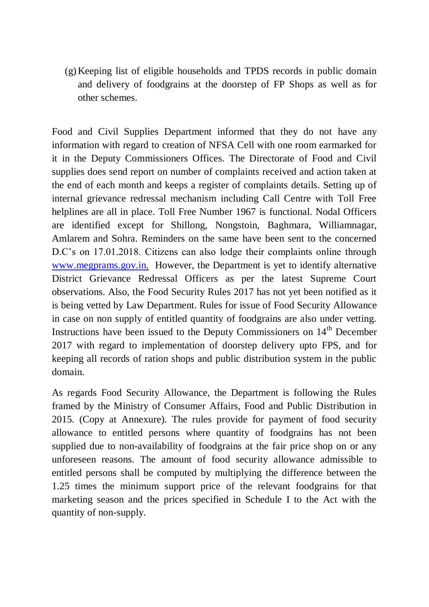(g)Keeping list of eligible households and TPDS records in public domain and delivery of foodgrains at the doorstep of FP Shops as well as for other schemes.

Food and Civil Supplies Department informed that they do not have any information with regard to creation of NFSA Cell with one room earmarked for it in the Deputy Commissioners Offices. The Directorate of Food and Civil supplies does send report on number of complaints received and action taken at the end of each month and keeps a register of complaints details. Setting up of internal grievance redressal mechanism including Call Centre with Toll Free helplines are all in place. Toll Free Number 1967 is functional. Nodal Officers are identified except for Shillong, Nongstoin, Baghmara, Williamnagar, Amlarem and Sohra. Reminders on the same have been sent to the concerned D.C's on 17.01.2018. Citizens can also lodge their complaints online through [www.megprams.gov.in.](http://www.megprams.gov.in/) However, the Department is yet to identify alternative District Grievance Redressal Officers as per the latest Supreme Court observations. Also, the Food Security Rules 2017 has not yet been notified as it is being vetted by Law Department. Rules for issue of Food Security Allowance in case on non supply of entitled quantity of foodgrains are also under vetting. Instructions have been issued to the Deputy Commissioners on 14<sup>th</sup> December 2017 with regard to implementation of doorstep delivery upto FPS, and for keeping all records of ration shops and public distribution system in the public domain.

As regards Food Security Allowance, the Department is following the Rules framed by the Ministry of Consumer Affairs, Food and Public Distribution in 2015. (Copy at Annexure). The rules provide for payment of food security allowance to entitled persons where quantity of foodgrains has not been supplied due to non-availability of foodgrains at the fair price shop on or any unforeseen reasons. The amount of food security allowance admissible to entitled persons shall be computed by multiplying the difference between the 1.25 times the minimum support price of the relevant foodgrains for that marketing season and the prices specified in Schedule I to the Act with the quantity of non-supply.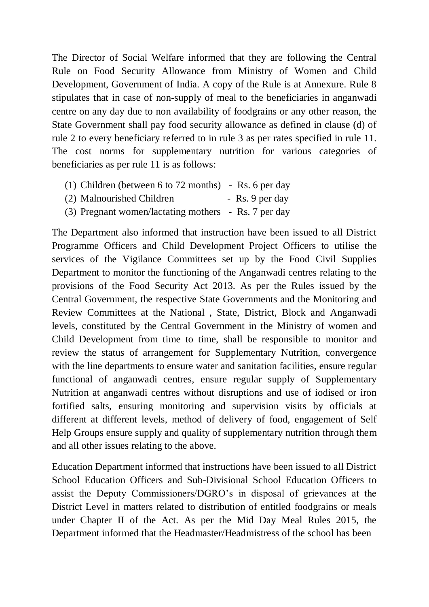The Director of Social Welfare informed that they are following the Central Rule on Food Security Allowance from Ministry of Women and Child Development, Government of India. A copy of the Rule is at Annexure. Rule 8 stipulates that in case of non-supply of meal to the beneficiaries in anganwadi centre on any day due to non availability of foodgrains or any other reason, the State Government shall pay food security allowance as defined in clause (d) of rule 2 to every beneficiary referred to in rule 3 as per rates specified in rule 11. The cost norms for supplementary nutrition for various categories of beneficiaries as per rule 11 is as follows:

- (1) Children (between 6 to 72 months) Rs. 6 per day
- (2) Malnourished Children Rs. 9 per day
- (3) Pregnant women/lactating mothers Rs. 7 per day

The Department also informed that instruction have been issued to all District Programme Officers and Child Development Project Officers to utilise the services of the Vigilance Committees set up by the Food Civil Supplies Department to monitor the functioning of the Anganwadi centres relating to the provisions of the Food Security Act 2013. As per the Rules issued by the Central Government, the respective State Governments and the Monitoring and Review Committees at the National , State, District, Block and Anganwadi levels, constituted by the Central Government in the Ministry of women and Child Development from time to time, shall be responsible to monitor and review the status of arrangement for Supplementary Nutrition, convergence with the line departments to ensure water and sanitation facilities, ensure regular functional of anganwadi centres, ensure regular supply of Supplementary Nutrition at anganwadi centres without disruptions and use of iodised or iron fortified salts, ensuring monitoring and supervision visits by officials at different at different levels, method of delivery of food, engagement of Self Help Groups ensure supply and quality of supplementary nutrition through them and all other issues relating to the above.

Education Department informed that instructions have been issued to all District School Education Officers and Sub-Divisional School Education Officers to assist the Deputy Commissioners/DGRO's in disposal of grievances at the District Level in matters related to distribution of entitled foodgrains or meals under Chapter II of the Act. As per the Mid Day Meal Rules 2015, the Department informed that the Headmaster/Headmistress of the school has been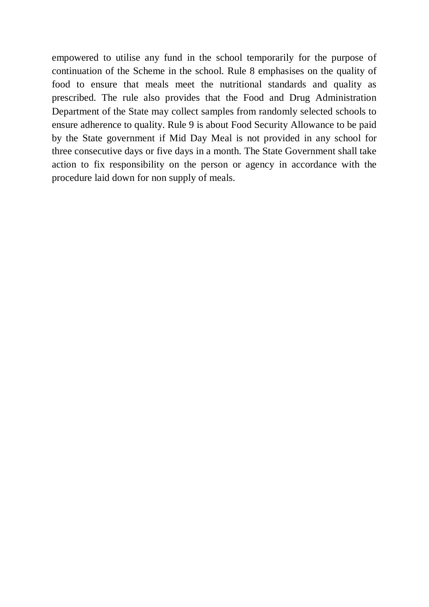empowered to utilise any fund in the school temporarily for the purpose of continuation of the Scheme in the school. Rule 8 emphasises on the quality of food to ensure that meals meet the nutritional standards and quality as prescribed. The rule also provides that the Food and Drug Administration Department of the State may collect samples from randomly selected schools to ensure adherence to quality. Rule 9 is about Food Security Allowance to be paid by the State government if Mid Day Meal is not provided in any school for three consecutive days or five days in a month. The State Government shall take action to fix responsibility on the person or agency in accordance with the procedure laid down for non supply of meals.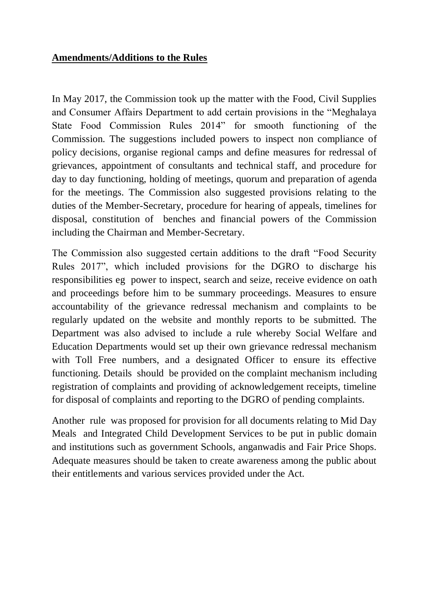### **Amendments/Additions to the Rules**

In May 2017, the Commission took up the matter with the Food, Civil Supplies and Consumer Affairs Department to add certain provisions in the "Meghalaya State Food Commission Rules 2014" for smooth functioning of the Commission. The suggestions included powers to inspect non compliance of policy decisions, organise regional camps and define measures for redressal of grievances, appointment of consultants and technical staff, and procedure for day to day functioning, holding of meetings, quorum and preparation of agenda for the meetings. The Commission also suggested provisions relating to the duties of the Member-Secretary, procedure for hearing of appeals, timelines for disposal, constitution of benches and financial powers of the Commission including the Chairman and Member-Secretary.

The Commission also suggested certain additions to the draft "Food Security Rules 2017", which included provisions for the DGRO to discharge his responsibilities eg power to inspect, search and seize, receive evidence on oath and proceedings before him to be summary proceedings. Measures to ensure accountability of the grievance redressal mechanism and complaints to be regularly updated on the website and monthly reports to be submitted. The Department was also advised to include a rule whereby Social Welfare and Education Departments would set up their own grievance redressal mechanism with Toll Free numbers, and a designated Officer to ensure its effective functioning. Details should be provided on the complaint mechanism including registration of complaints and providing of acknowledgement receipts, timeline for disposal of complaints and reporting to the DGRO of pending complaints.

Another rule was proposed for provision for all documents relating to Mid Day Meals and Integrated Child Development Services to be put in public domain and institutions such as government Schools, anganwadis and Fair Price Shops. Adequate measures should be taken to create awareness among the public about their entitlements and various services provided under the Act.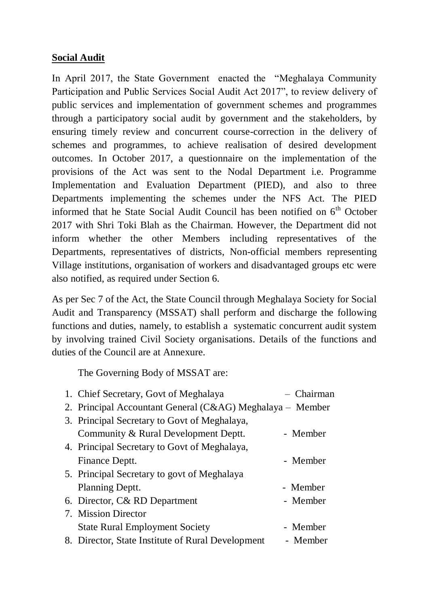### **Social Audit**

In April 2017, the State Government enacted the "Meghalaya Community Participation and Public Services Social Audit Act 2017", to review delivery of public services and implementation of government schemes and programmes through a participatory social audit by government and the stakeholders, by ensuring timely review and concurrent course-correction in the delivery of schemes and programmes, to achieve realisation of desired development outcomes. In October 2017, a questionnaire on the implementation of the provisions of the Act was sent to the Nodal Department i.e. Programme Implementation and Evaluation Department (PIED), and also to three Departments implementing the schemes under the NFS Act. The PIED informed that he State Social Audit Council has been notified on  $6<sup>th</sup>$  October 2017 with Shri Toki Blah as the Chairman. However, the Department did not inform whether the other Members including representatives of the Departments, representatives of districts, Non-official members representing Village institutions, organisation of workers and disadvantaged groups etc were also notified, as required under Section 6.

As per Sec 7 of the Act, the State Council through Meghalaya Society for Social Audit and Transparency (MSSAT) shall perform and discharge the following functions and duties, namely, to establish a systematic concurrent audit system by involving trained Civil Society organisations. Details of the functions and duties of the Council are at Annexure.

The Governing Body of MSSAT are:

| 1. Chief Secretary, Govt of Meghalaya                     | - Chairman |
|-----------------------------------------------------------|------------|
| 2. Principal Accountant General (C&AG) Meghalaya – Member |            |
| 3. Principal Secretary to Govt of Meghalaya,              |            |
| Community & Rural Development Deptt.                      | - Member   |
| 4. Principal Secretary to Govt of Meghalaya,              |            |
| Finance Deptt.                                            | - Member   |
| 5. Principal Secretary to govt of Meghalaya               |            |
| Planning Deptt.                                           | - Member   |
| 6. Director, C& RD Department                             | - Member   |
| 7. Mission Director                                       |            |
| <b>State Rural Employment Society</b>                     | - Member   |
| 8. Director, State Institute of Rural Development         | - Member   |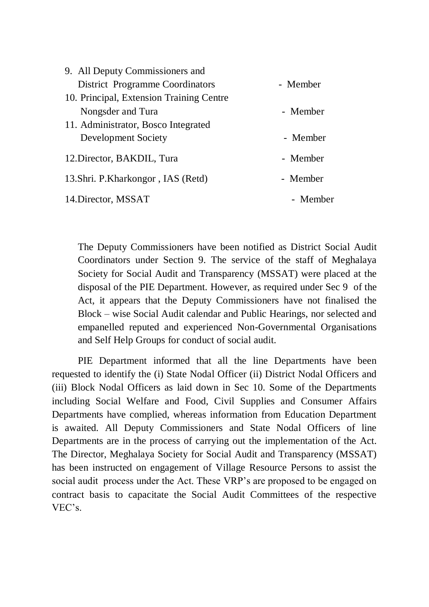| 9. All Deputy Commissioners and          |          |
|------------------------------------------|----------|
| District Programme Coordinators          | - Member |
| 10. Principal, Extension Training Centre |          |
| Nongsder and Tura                        | - Member |
| 11. Administrator, Bosco Integrated      |          |
| Development Society                      | - Member |
| 12. Director, BAKDIL, Tura               | - Member |
| 13. Shri. P. Kharkongor, IAS (Retd)      | - Member |
| 14. Director, MSSAT                      | - Member |

The Deputy Commissioners have been notified as District Social Audit Coordinators under Section 9. The service of the staff of Meghalaya Society for Social Audit and Transparency (MSSAT) were placed at the disposal of the PIE Department. However, as required under Sec 9 of the Act, it appears that the Deputy Commissioners have not finalised the Block – wise Social Audit calendar and Public Hearings, nor selected and empanelled reputed and experienced Non-Governmental Organisations and Self Help Groups for conduct of social audit.

PIE Department informed that all the line Departments have been requested to identify the (i) State Nodal Officer (ii) District Nodal Officers and (iii) Block Nodal Officers as laid down in Sec 10. Some of the Departments including Social Welfare and Food, Civil Supplies and Consumer Affairs Departments have complied, whereas information from Education Department is awaited. All Deputy Commissioners and State Nodal Officers of line Departments are in the process of carrying out the implementation of the Act. The Director, Meghalaya Society for Social Audit and Transparency (MSSAT) has been instructed on engagement of Village Resource Persons to assist the social audit process under the Act. These VRP's are proposed to be engaged on contract basis to capacitate the Social Audit Committees of the respective VEC's.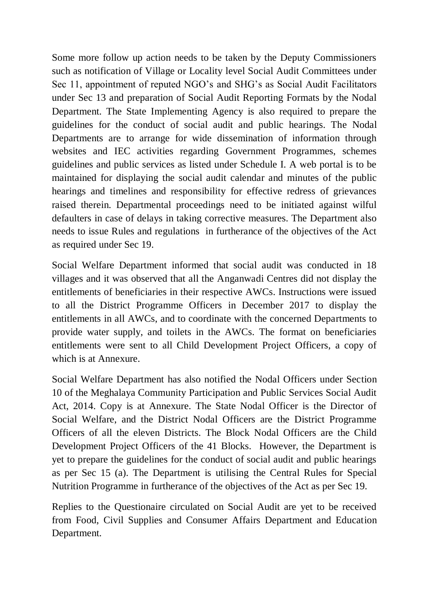Some more follow up action needs to be taken by the Deputy Commissioners such as notification of Village or Locality level Social Audit Committees under Sec 11, appointment of reputed NGO's and SHG's as Social Audit Facilitators under Sec 13 and preparation of Social Audit Reporting Formats by the Nodal Department. The State Implementing Agency is also required to prepare the guidelines for the conduct of social audit and public hearings. The Nodal Departments are to arrange for wide dissemination of information through websites and IEC activities regarding Government Programmes, schemes guidelines and public services as listed under Schedule I. A web portal is to be maintained for displaying the social audit calendar and minutes of the public hearings and timelines and responsibility for effective redress of grievances raised therein. Departmental proceedings need to be initiated against wilful defaulters in case of delays in taking corrective measures. The Department also needs to issue Rules and regulations in furtherance of the objectives of the Act as required under Sec 19.

Social Welfare Department informed that social audit was conducted in 18 villages and it was observed that all the Anganwadi Centres did not display the entitlements of beneficiaries in their respective AWCs. Instructions were issued to all the District Programme Officers in December 2017 to display the entitlements in all AWCs, and to coordinate with the concerned Departments to provide water supply, and toilets in the AWCs. The format on beneficiaries entitlements were sent to all Child Development Project Officers, a copy of which is at Annexure.

Social Welfare Department has also notified the Nodal Officers under Section 10 of the Meghalaya Community Participation and Public Services Social Audit Act, 2014. Copy is at Annexure. The State Nodal Officer is the Director of Social Welfare, and the District Nodal Officers are the District Programme Officers of all the eleven Districts. The Block Nodal Officers are the Child Development Project Officers of the 41 Blocks. However, the Department is yet to prepare the guidelines for the conduct of social audit and public hearings as per Sec 15 (a). The Department is utilising the Central Rules for Special Nutrition Programme in furtherance of the objectives of the Act as per Sec 19.

Replies to the Questionaire circulated on Social Audit are yet to be received from Food, Civil Supplies and Consumer Affairs Department and Education Department.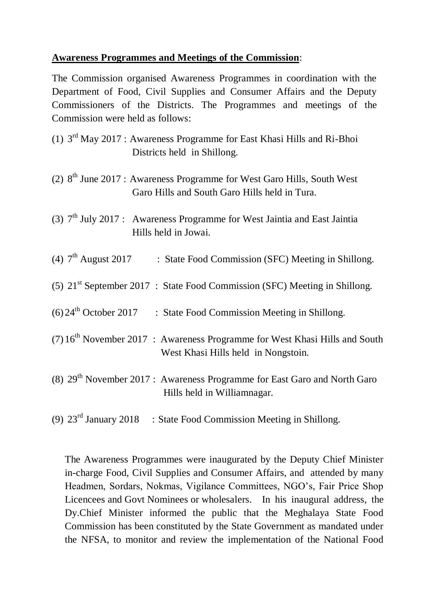#### **Awareness Programmes and Meetings of the Commission**:

The Commission organised Awareness Programmes in coordination with the Department of Food, Civil Supplies and Consumer Affairs and the Deputy Commissioners of the Districts. The Programmes and meetings of the Commission were held as follows:

- (1)  $3<sup>rd</sup>$  May 2017 : Awareness Programme for East Khasi Hills and Ri-Bhoi Districts held in Shillong.
- (2)  $8<sup>th</sup>$  June 2017 : Awareness Programme for West Garo Hills, South West Garo Hills and South Garo Hills held in Tura.
- (3)  $7<sup>th</sup>$  July 2017 : Awareness Programme for West Jaintia and East Jaintia Hills held in Jowai.
- (4)  $7<sup>th</sup>$  August 2017 : State Food Commission (SFC) Meeting in Shillong.
- (5)  $21^{st}$  September 2017 : State Food Commission (SFC) Meeting in Shillong.
- $(6)$  24<sup>th</sup> October 2017 : State Food Commission Meeting in Shillong.
- (7)  $16<sup>th</sup>$  November 2017 : Awareness Programme for West Khasi Hills and South West Khasi Hills held in Nongstoin.
- (8)  $29<sup>th</sup>$  November 2017 : Awareness Programme for East Garo and North Garo Hills held in Williamnagar.
- (9)  $23<sup>rd</sup> January 2018$  : State Food Commission Meeting in Shillong.

The Awareness Programmes were inaugurated by the Deputy Chief Minister in-charge Food, Civil Supplies and Consumer Affairs, and attended by many Headmen, Sordars, Nokmas, Vigilance Committees, NGO's, Fair Price Shop Licencees and Govt Nominees or wholesalers. In his inaugural address, the Dy.Chief Minister informed the public that the Meghalaya State Food Commission has been constituted by the State Government as mandated under the NFSA, to monitor and review the implementation of the National Food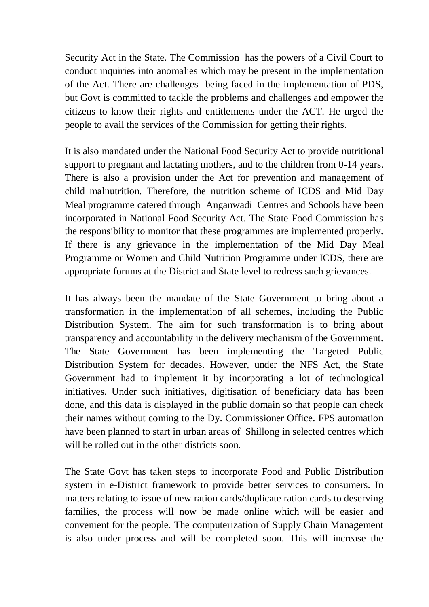Security Act in the State. The Commission has the powers of a Civil Court to conduct inquiries into anomalies which may be present in the implementation of the Act. There are challenges being faced in the implementation of PDS, but Govt is committed to tackle the problems and challenges and empower the citizens to know their rights and entitlements under the ACT. He urged the people to avail the services of the Commission for getting their rights.

It is also mandated under the National Food Security Act to provide nutritional support to pregnant and lactating mothers, and to the children from 0-14 years. There is also a provision under the Act for prevention and management of child malnutrition. Therefore, the nutrition scheme of ICDS and Mid Day Meal programme catered through Anganwadi Centres and Schools have been incorporated in National Food Security Act. The State Food Commission has the responsibility to monitor that these programmes are implemented properly. If there is any grievance in the implementation of the Mid Day Meal Programme or Women and Child Nutrition Programme under ICDS, there are appropriate forums at the District and State level to redress such grievances.

It has always been the mandate of the State Government to bring about a transformation in the implementation of all schemes, including the Public Distribution System. The aim for such transformation is to bring about transparency and accountability in the delivery mechanism of the Government. The State Government has been implementing the Targeted Public Distribution System for decades. However, under the NFS Act, the State Government had to implement it by incorporating a lot of technological initiatives. Under such initiatives, digitisation of beneficiary data has been done, and this data is displayed in the public domain so that people can check their names without coming to the Dy. Commissioner Office. FPS automation have been planned to start in urban areas of Shillong in selected centres which will be rolled out in the other districts soon.

The State Govt has taken steps to incorporate Food and Public Distribution system in e-District framework to provide better services to consumers. In matters relating to issue of new ration cards/duplicate ration cards to deserving families, the process will now be made online which will be easier and convenient for the people. The computerization of Supply Chain Management is also under process and will be completed soon. This will increase the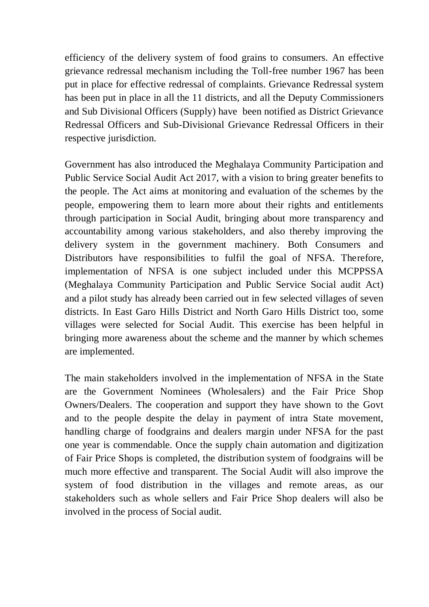efficiency of the delivery system of food grains to consumers. An effective grievance redressal mechanism including the Toll-free number 1967 has been put in place for effective redressal of complaints. Grievance Redressal system has been put in place in all the 11 districts, and all the Deputy Commissioners and Sub Divisional Officers (Supply) have been notified as District Grievance Redressal Officers and Sub-Divisional Grievance Redressal Officers in their respective jurisdiction.

Government has also introduced the Meghalaya Community Participation and Public Service Social Audit Act 2017, with a vision to bring greater benefits to the people. The Act aims at monitoring and evaluation of the schemes by the people, empowering them to learn more about their rights and entitlements through participation in Social Audit, bringing about more transparency and accountability among various stakeholders, and also thereby improving the delivery system in the government machinery. Both Consumers and Distributors have responsibilities to fulfil the goal of NFSA. Therefore, implementation of NFSA is one subject included under this MCPPSSA (Meghalaya Community Participation and Public Service Social audit Act) and a pilot study has already been carried out in few selected villages of seven districts. In East Garo Hills District and North Garo Hills District too, some villages were selected for Social Audit. This exercise has been helpful in bringing more awareness about the scheme and the manner by which schemes are implemented.

The main stakeholders involved in the implementation of NFSA in the State are the Government Nominees (Wholesalers) and the Fair Price Shop Owners/Dealers. The cooperation and support they have shown to the Govt and to the people despite the delay in payment of intra State movement, handling charge of foodgrains and dealers margin under NFSA for the past one year is commendable. Once the supply chain automation and digitization of Fair Price Shops is completed, the distribution system of foodgrains will be much more effective and transparent. The Social Audit will also improve the system of food distribution in the villages and remote areas, as our stakeholders such as whole sellers and Fair Price Shop dealers will also be involved in the process of Social audit.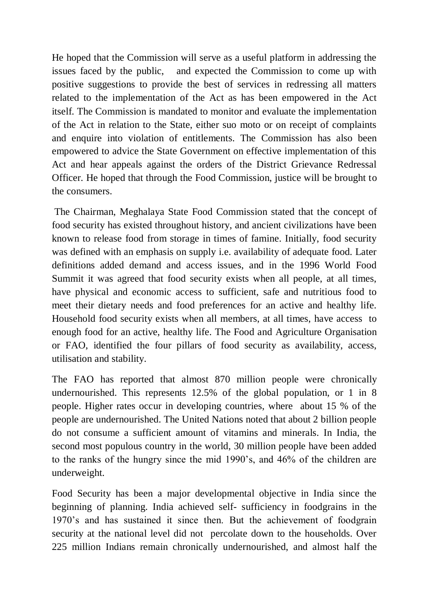He hoped that the Commission will serve as a useful platform in addressing the issues faced by the public, and expected the Commission to come up with positive suggestions to provide the best of services in redressing all matters related to the implementation of the Act as has been empowered in the Act itself. The Commission is mandated to monitor and evaluate the implementation of the Act in relation to the State, either suo moto or on receipt of complaints and enquire into violation of entitlements. The Commission has also been empowered to advice the State Government on effective implementation of this Act and hear appeals against the orders of the District Grievance Redressal Officer. He hoped that through the Food Commission, justice will be brought to the consumers.

The Chairman, Meghalaya State Food Commission stated that the concept of food security has existed throughout history, and ancient civilizations have been known to release food from storage in times of famine. Initially, food security was defined with an emphasis on supply i.e. availability of adequate food. Later definitions added demand and access issues, and in the 1996 World Food Summit it was agreed that food security exists when all people, at all times, have physical and economic access to sufficient, safe and nutritious food to meet their dietary needs and food preferences for an active and healthy life. Household food security exists when all members, at all times, have access to enough food for an active, healthy life. The Food and Agriculture Organisation or FAO, identified the four pillars of food security as availability, access, utilisation and stability.

The FAO has reported that almost 870 million people were chronically undernourished. This represents 12.5% of the global population, or 1 in 8 people. Higher rates occur in developing countries, where about 15 % of the people are undernourished. The United Nations noted that about 2 billion people do not consume a sufficient amount of vitamins and minerals. In India, the second most populous country in the world, 30 million people have been added to the ranks of the hungry since the mid 1990's, and 46% of the children are underweight.

Food Security has been a major developmental objective in India since the beginning of planning. India achieved self- sufficiency in foodgrains in the 1970's and has sustained it since then. But the achievement of foodgrain security at the national level did not percolate down to the households. Over 225 million Indians remain chronically undernourished, and almost half the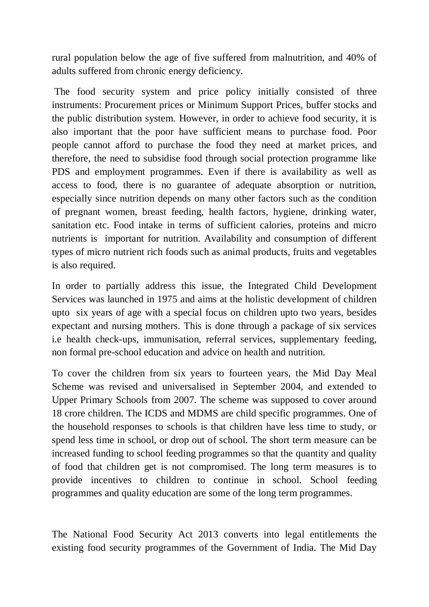rural population below the age of five suffered from malnutrition, and 40% of adults suffered from chronic energy deficiency.

The food security system and price policy initially consisted of three instruments: Procurement prices or Minimum Support Prices, buffer stocks and the public distribution system. However, in order to achieve food security, it is also important that the poor have sufficient means to purchase food. Poor people cannot afford to purchase the food they need at market prices, and therefore, the need to subsidise food through social protection programme like PDS and employment programmes. Even if there is availability as well as access to food, there is no guarantee of adequate absorption or nutrition, especially since nutrition depends on many other factors such as the condition of pregnant women, breast feeding, health factors, hygiene, drinking water, sanitation etc. Food intake in terms of sufficient calories, proteins and micro nutrients is important for nutrition. Availability and consumption of different types of micro nutrient rich foods such as animal products, fruits and vegetables is also required.

In order to partially address this issue, the Integrated Child Development Services was launched in 1975 and aims at the holistic development of children upto six years of age with a special focus on children upto two years, besides expectant and nursing mothers. This is done through a package of six services i.e health check-ups, immunisation, referral services, supplementary feeding, non formal pre-school education and advice on health and nutrition.

To cover the children from six years to fourteen years, the Mid Day Meal Scheme was revised and universalised in September 2004, and extended to Upper Primary Schools from 2007. The scheme was supposed to cover around 18 crore children. The ICDS and MDMS are child specific programmes. One of the household responses to schools is that children have less time to study, or spend less time in school, or drop out of school. The short term measure can be increased funding to school feeding programmes so that the quantity and quality of food that children get is not compromised. The long term measures is to provide incentives to children to continue in school. School feeding programmes and quality education are some of the long term programmes.

The National Food Security Act 2013 converts into legal entitlements the existing food security programmes of the Government of India. The Mid Day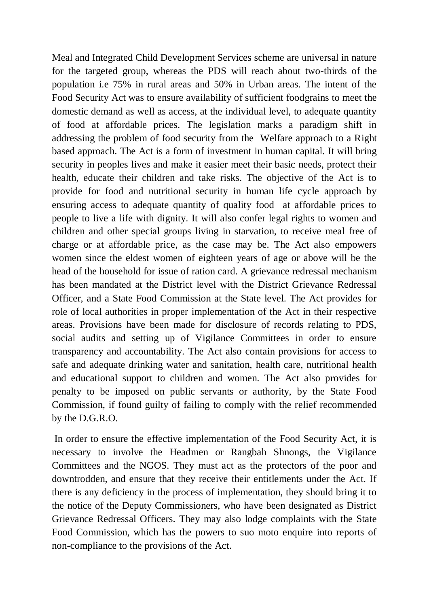Meal and Integrated Child Development Services scheme are universal in nature for the targeted group, whereas the PDS will reach about two-thirds of the population i.e 75% in rural areas and 50% in Urban areas. The intent of the Food Security Act was to ensure availability of sufficient foodgrains to meet the domestic demand as well as access, at the individual level, to adequate quantity of food at affordable prices. The legislation marks a paradigm shift in addressing the problem of food security from the Welfare approach to a Right based approach. The Act is a form of investment in human capital. It will bring security in peoples lives and make it easier meet their basic needs, protect their health, educate their children and take risks. The objective of the Act is to provide for food and nutritional security in human life cycle approach by ensuring access to adequate quantity of quality food at affordable prices to people to live a life with dignity. It will also confer legal rights to women and children and other special groups living in starvation, to receive meal free of charge or at affordable price, as the case may be. The Act also empowers women since the eldest women of eighteen years of age or above will be the head of the household for issue of ration card. A grievance redressal mechanism has been mandated at the District level with the District Grievance Redressal Officer, and a State Food Commission at the State level. The Act provides for role of local authorities in proper implementation of the Act in their respective areas. Provisions have been made for disclosure of records relating to PDS, social audits and setting up of Vigilance Committees in order to ensure transparency and accountability. The Act also contain provisions for access to safe and adequate drinking water and sanitation, health care, nutritional health and educational support to children and women. The Act also provides for penalty to be imposed on public servants or authority, by the State Food Commission, if found guilty of failing to comply with the relief recommended by the D.G.R.O.

In order to ensure the effective implementation of the Food Security Act, it is necessary to involve the Headmen or Rangbah Shnongs, the Vigilance Committees and the NGOS. They must act as the protectors of the poor and downtrodden, and ensure that they receive their entitlements under the Act. If there is any deficiency in the process of implementation, they should bring it to the notice of the Deputy Commissioners, who have been designated as District Grievance Redressal Officers. They may also lodge complaints with the State Food Commission, which has the powers to suo moto enquire into reports of non-compliance to the provisions of the Act.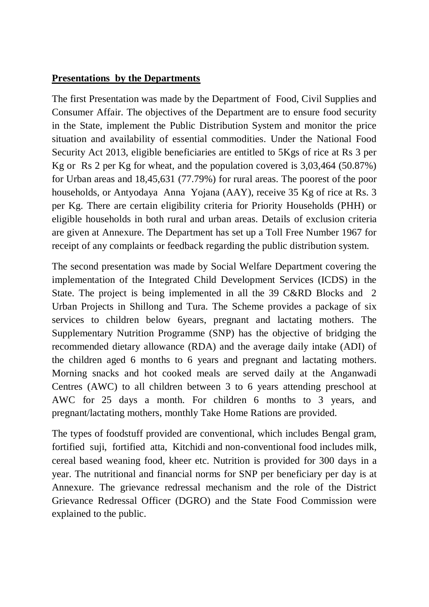### **Presentations by the Departments**

The first Presentation was made by the Department of Food, Civil Supplies and Consumer Affair. The objectives of the Department are to ensure food security in the State, implement the Public Distribution System and monitor the price situation and availability of essential commodities. Under the National Food Security Act 2013, eligible beneficiaries are entitled to 5Kgs of rice at Rs 3 per Kg or Rs 2 per Kg for wheat, and the population covered is 3,03,464 (50.87%) for Urban areas and 18,45,631 (77.79%) for rural areas. The poorest of the poor households, or Antyodaya Anna Yojana (AAY), receive 35 Kg of rice at Rs. 3 per Kg. There are certain eligibility criteria for Priority Households (PHH) or eligible households in both rural and urban areas. Details of exclusion criteria are given at Annexure. The Department has set up a Toll Free Number 1967 for receipt of any complaints or feedback regarding the public distribution system.

The second presentation was made by Social Welfare Department covering the implementation of the Integrated Child Development Services (ICDS) in the State. The project is being implemented in all the 39 C&RD Blocks and 2 Urban Projects in Shillong and Tura. The Scheme provides a package of six services to children below 6years, pregnant and lactating mothers. The Supplementary Nutrition Programme (SNP) has the objective of bridging the recommended dietary allowance (RDA) and the average daily intake (ADI) of the children aged 6 months to 6 years and pregnant and lactating mothers. Morning snacks and hot cooked meals are served daily at the Anganwadi Centres (AWC) to all children between 3 to 6 years attending preschool at AWC for 25 days a month. For children 6 months to 3 years, and pregnant/lactating mothers, monthly Take Home Rations are provided.

The types of foodstuff provided are conventional, which includes Bengal gram, fortified suji, fortified atta, Kitchidi and non-conventional food includes milk, cereal based weaning food, kheer etc. Nutrition is provided for 300 days in a year. The nutritional and financial norms for SNP per beneficiary per day is at Annexure. The grievance redressal mechanism and the role of the District Grievance Redressal Officer (DGRO) and the State Food Commission were explained to the public.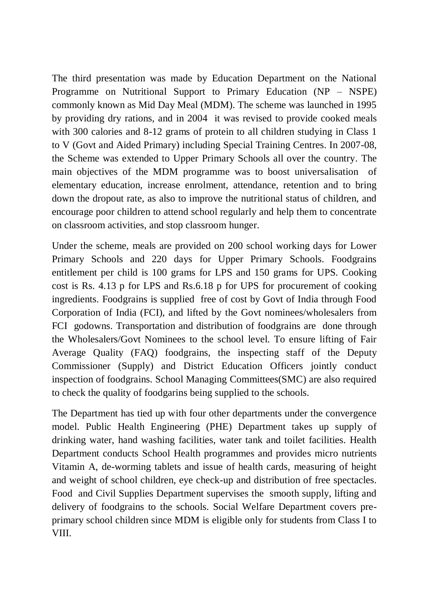The third presentation was made by Education Department on the National Programme on Nutritional Support to Primary Education (NP – NSPE) commonly known as Mid Day Meal (MDM). The scheme was launched in 1995 by providing dry rations, and in 2004 it was revised to provide cooked meals with 300 calories and 8-12 grams of protein to all children studying in Class 1 to V (Govt and Aided Primary) including Special Training Centres. In 2007-08, the Scheme was extended to Upper Primary Schools all over the country. The main objectives of the MDM programme was to boost universalisation of elementary education, increase enrolment, attendance, retention and to bring down the dropout rate, as also to improve the nutritional status of children, and encourage poor children to attend school regularly and help them to concentrate on classroom activities, and stop classroom hunger.

Under the scheme, meals are provided on 200 school working days for Lower Primary Schools and 220 days for Upper Primary Schools. Foodgrains entitlement per child is 100 grams for LPS and 150 grams for UPS. Cooking cost is Rs. 4.13 p for LPS and Rs.6.18 p for UPS for procurement of cooking ingredients. Foodgrains is supplied free of cost by Govt of India through Food Corporation of India (FCI), and lifted by the Govt nominees/wholesalers from FCI godowns. Transportation and distribution of foodgrains are done through the Wholesalers/Govt Nominees to the school level. To ensure lifting of Fair Average Quality (FAQ) foodgrains, the inspecting staff of the Deputy Commissioner (Supply) and District Education Officers jointly conduct inspection of foodgrains. School Managing Committees(SMC) are also required to check the quality of foodgarins being supplied to the schools.

The Department has tied up with four other departments under the convergence model. Public Health Engineering (PHE) Department takes up supply of drinking water, hand washing facilities, water tank and toilet facilities. Health Department conducts School Health programmes and provides micro nutrients Vitamin A, de-worming tablets and issue of health cards, measuring of height and weight of school children, eye check-up and distribution of free spectacles. Food and Civil Supplies Department supervises the smooth supply, lifting and delivery of foodgrains to the schools. Social Welfare Department covers preprimary school children since MDM is eligible only for students from Class I to VIII.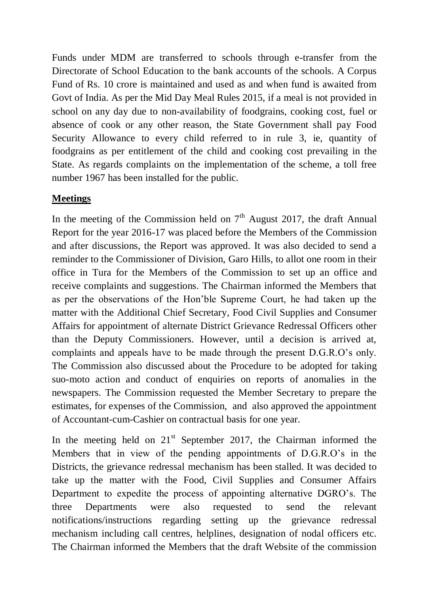Funds under MDM are transferred to schools through e-transfer from the Directorate of School Education to the bank accounts of the schools. A Corpus Fund of Rs. 10 crore is maintained and used as and when fund is awaited from Govt of India. As per the Mid Day Meal Rules 2015, if a meal is not provided in school on any day due to non-availability of foodgrains, cooking cost, fuel or absence of cook or any other reason, the State Government shall pay Food Security Allowance to every child referred to in rule 3, ie, quantity of foodgrains as per entitlement of the child and cooking cost prevailing in the State. As regards complaints on the implementation of the scheme, a toll free number 1967 has been installed for the public.

# **Meetings**

In the meeting of the Commission held on  $7<sup>th</sup>$  August 2017, the draft Annual Report for the year 2016-17 was placed before the Members of the Commission and after discussions, the Report was approved. It was also decided to send a reminder to the Commissioner of Division, Garo Hills, to allot one room in their office in Tura for the Members of the Commission to set up an office and receive complaints and suggestions. The Chairman informed the Members that as per the observations of the Hon'ble Supreme Court, he had taken up the matter with the Additional Chief Secretary, Food Civil Supplies and Consumer Affairs for appointment of alternate District Grievance Redressal Officers other than the Deputy Commissioners. However, until a decision is arrived at, complaints and appeals have to be made through the present D.G.R.O's only. The Commission also discussed about the Procedure to be adopted for taking suo-moto action and conduct of enquiries on reports of anomalies in the newspapers. The Commission requested the Member Secretary to prepare the estimates, for expenses of the Commission, and also approved the appointment of Accountant-cum-Cashier on contractual basis for one year.

In the meeting held on  $21<sup>st</sup>$  September 2017, the Chairman informed the Members that in view of the pending appointments of D.G.R.O's in the Districts, the grievance redressal mechanism has been stalled. It was decided to take up the matter with the Food, Civil Supplies and Consumer Affairs Department to expedite the process of appointing alternative DGRO's. The three Departments were also requested to send the relevant notifications/instructions regarding setting up the grievance redressal mechanism including call centres, helplines, designation of nodal officers etc. The Chairman informed the Members that the draft Website of the commission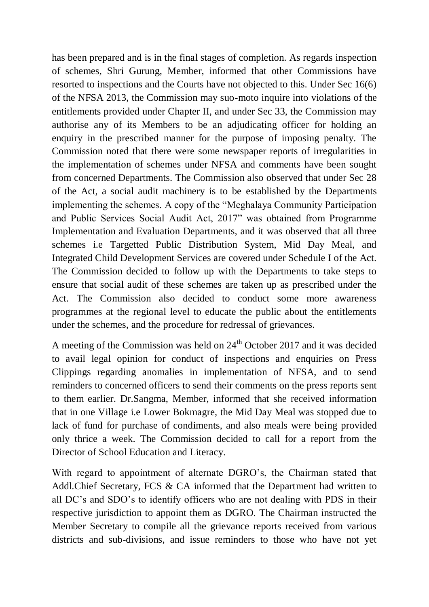has been prepared and is in the final stages of completion. As regards inspection of schemes, Shri Gurung, Member, informed that other Commissions have resorted to inspections and the Courts have not objected to this. Under Sec 16(6) of the NFSA 2013, the Commission may suo-moto inquire into violations of the entitlements provided under Chapter II, and under Sec 33, the Commission may authorise any of its Members to be an adjudicating officer for holding an enquiry in the prescribed manner for the purpose of imposing penalty. The Commission noted that there were some newspaper reports of irregularities in the implementation of schemes under NFSA and comments have been sought from concerned Departments. The Commission also observed that under Sec 28 of the Act, a social audit machinery is to be established by the Departments implementing the schemes. A copy of the "Meghalaya Community Participation and Public Services Social Audit Act, 2017" was obtained from Programme Implementation and Evaluation Departments, and it was observed that all three schemes i.e Targetted Public Distribution System, Mid Day Meal, and Integrated Child Development Services are covered under Schedule I of the Act. The Commission decided to follow up with the Departments to take steps to ensure that social audit of these schemes are taken up as prescribed under the Act. The Commission also decided to conduct some more awareness programmes at the regional level to educate the public about the entitlements under the schemes, and the procedure for redressal of grievances.

A meeting of the Commission was held on  $24<sup>th</sup>$  October 2017 and it was decided to avail legal opinion for conduct of inspections and enquiries on Press Clippings regarding anomalies in implementation of NFSA, and to send reminders to concerned officers to send their comments on the press reports sent to them earlier. Dr.Sangma, Member, informed that she received information that in one Village i.e Lower Bokmagre, the Mid Day Meal was stopped due to lack of fund for purchase of condiments, and also meals were being provided only thrice a week. The Commission decided to call for a report from the Director of School Education and Literacy.

With regard to appointment of alternate DGRO's, the Chairman stated that Addl.Chief Secretary, FCS & CA informed that the Department had written to all DC's and SDO's to identify officers who are not dealing with PDS in their respective jurisdiction to appoint them as DGRO. The Chairman instructed the Member Secretary to compile all the grievance reports received from various districts and sub-divisions, and issue reminders to those who have not yet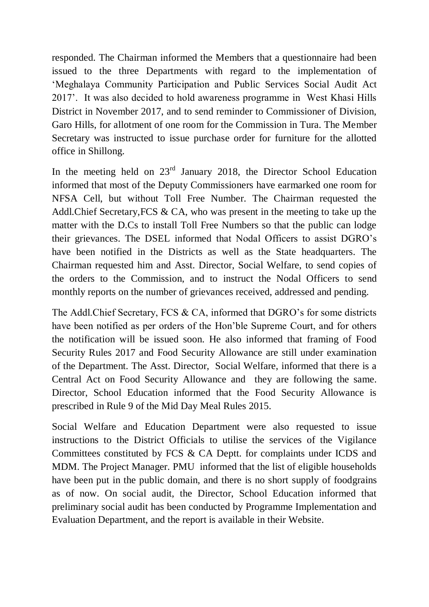responded. The Chairman informed the Members that a questionnaire had been issued to the three Departments with regard to the implementation of 'Meghalaya Community Participation and Public Services Social Audit Act 2017'. It was also decided to hold awareness programme in West Khasi Hills District in November 2017, and to send reminder to Commissioner of Division, Garo Hills, for allotment of one room for the Commission in Tura. The Member Secretary was instructed to issue purchase order for furniture for the allotted office in Shillong.

In the meeting held on 23<sup>rd</sup> January 2018, the Director School Education informed that most of the Deputy Commissioners have earmarked one room for NFSA Cell, but without Toll Free Number. The Chairman requested the Addl.Chief Secretary,FCS & CA, who was present in the meeting to take up the matter with the D.Cs to install Toll Free Numbers so that the public can lodge their grievances. The DSEL informed that Nodal Officers to assist DGRO's have been notified in the Districts as well as the State headquarters. The Chairman requested him and Asst. Director, Social Welfare, to send copies of the orders to the Commission, and to instruct the Nodal Officers to send monthly reports on the number of grievances received, addressed and pending.

The Addl.Chief Secretary, FCS & CA, informed that DGRO's for some districts have been notified as per orders of the Hon'ble Supreme Court, and for others the notification will be issued soon. He also informed that framing of Food Security Rules 2017 and Food Security Allowance are still under examination of the Department. The Asst. Director, Social Welfare, informed that there is a Central Act on Food Security Allowance and they are following the same. Director, School Education informed that the Food Security Allowance is prescribed in Rule 9 of the Mid Day Meal Rules 2015.

Social Welfare and Education Department were also requested to issue instructions to the District Officials to utilise the services of the Vigilance Committees constituted by FCS & CA Deptt. for complaints under ICDS and MDM. The Project Manager. PMU informed that the list of eligible households have been put in the public domain, and there is no short supply of foodgrains as of now. On social audit, the Director, School Education informed that preliminary social audit has been conducted by Programme Implementation and Evaluation Department, and the report is available in their Website.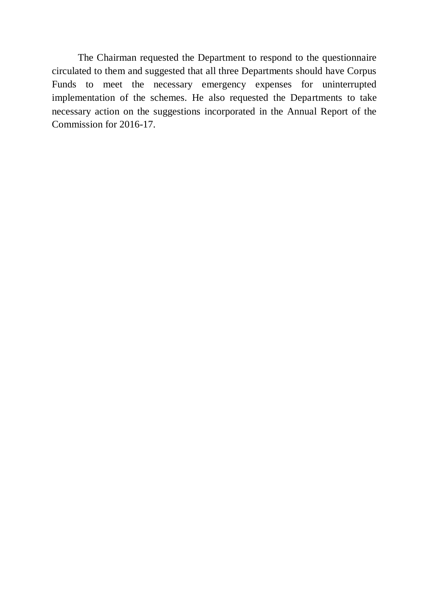The Chairman requested the Department to respond to the questionnaire circulated to them and suggested that all three Departments should have Corpus Funds to meet the necessary emergency expenses for uninterrupted implementation of the schemes. He also requested the Departments to take necessary action on the suggestions incorporated in the Annual Report of the Commission for 2016-17.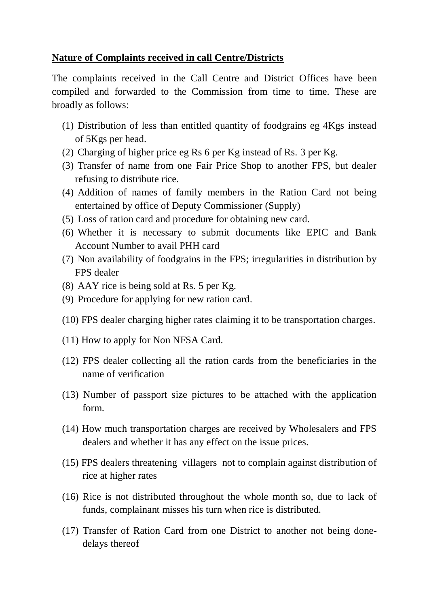### **Nature of Complaints received in call Centre/Districts**

The complaints received in the Call Centre and District Offices have been compiled and forwarded to the Commission from time to time. These are broadly as follows:

- (1) Distribution of less than entitled quantity of foodgrains eg 4Kgs instead of 5Kgs per head.
- (2) Charging of higher price eg Rs 6 per Kg instead of Rs. 3 per Kg.
- (3) Transfer of name from one Fair Price Shop to another FPS, but dealer refusing to distribute rice.
- (4) Addition of names of family members in the Ration Card not being entertained by office of Deputy Commissioner (Supply)
- (5) Loss of ration card and procedure for obtaining new card.
- (6) Whether it is necessary to submit documents like EPIC and Bank Account Number to avail PHH card
- (7) Non availability of foodgrains in the FPS; irregularities in distribution by FPS dealer
- (8) AAY rice is being sold at Rs. 5 per Kg.
- (9) Procedure for applying for new ration card.
- (10) FPS dealer charging higher rates claiming it to be transportation charges.
- (11) How to apply for Non NFSA Card.
- (12) FPS dealer collecting all the ration cards from the beneficiaries in the name of verification
- (13) Number of passport size pictures to be attached with the application form.
- (14) How much transportation charges are received by Wholesalers and FPS dealers and whether it has any effect on the issue prices.
- (15) FPS dealers threatening villagers not to complain against distribution of rice at higher rates
- (16) Rice is not distributed throughout the whole month so, due to lack of funds, complainant misses his turn when rice is distributed.
- (17) Transfer of Ration Card from one District to another not being donedelays thereof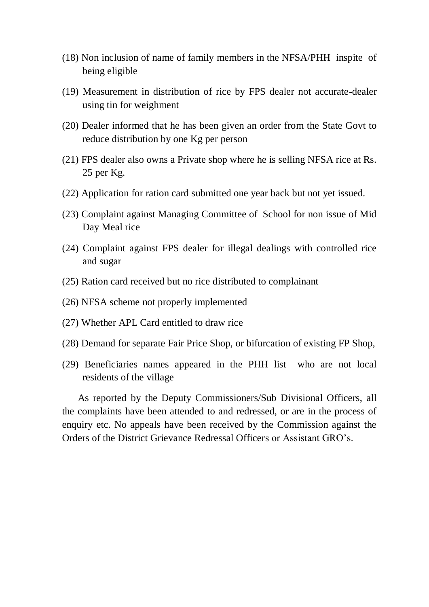- (18) Non inclusion of name of family members in the NFSA/PHH inspite of being eligible
- (19) Measurement in distribution of rice by FPS dealer not accurate-dealer using tin for weighment
- (20) Dealer informed that he has been given an order from the State Govt to reduce distribution by one Kg per person
- (21) FPS dealer also owns a Private shop where he is selling NFSA rice at Rs. 25 per Kg.
- (22) Application for ration card submitted one year back but not yet issued.
- (23) Complaint against Managing Committee of School for non issue of Mid Day Meal rice
- (24) Complaint against FPS dealer for illegal dealings with controlled rice and sugar
- (25) Ration card received but no rice distributed to complainant
- (26) NFSA scheme not properly implemented
- (27) Whether APL Card entitled to draw rice
- (28) Demand for separate Fair Price Shop, or bifurcation of existing FP Shop,
- (29) Beneficiaries names appeared in the PHH list who are not local residents of the village

As reported by the Deputy Commissioners/Sub Divisional Officers, all the complaints have been attended to and redressed, or are in the process of enquiry etc. No appeals have been received by the Commission against the Orders of the District Grievance Redressal Officers or Assistant GRO's.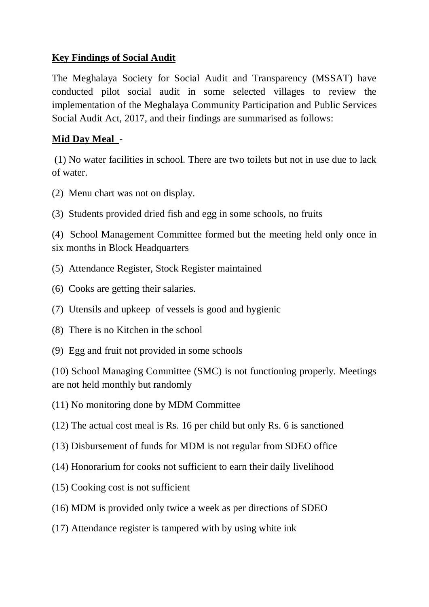# **Key Findings of Social Audit**

The Meghalaya Society for Social Audit and Transparency (MSSAT) have conducted pilot social audit in some selected villages to review the implementation of the Meghalaya Community Participation and Public Services Social Audit Act, 2017, and their findings are summarised as follows:

# **Mid Day Meal** -

(1) No water facilities in school. There are two toilets but not in use due to lack of water.

- (2) Menu chart was not on display.
- (3) Students provided dried fish and egg in some schools, no fruits

(4) School Management Committee formed but the meeting held only once in six months in Block Headquarters

- (5) Attendance Register, Stock Register maintained
- (6) Cooks are getting their salaries.
- (7) Utensils and upkeep of vessels is good and hygienic
- (8) There is no Kitchen in the school
- (9) Egg and fruit not provided in some schools

(10) School Managing Committee (SMC) is not functioning properly. Meetings are not held monthly but randomly

- (11) No monitoring done by MDM Committee
- (12) The actual cost meal is Rs. 16 per child but only Rs. 6 is sanctioned
- (13) Disbursement of funds for MDM is not regular from SDEO office
- (14) Honorarium for cooks not sufficient to earn their daily livelihood
- (15) Cooking cost is not sufficient
- (16) MDM is provided only twice a week as per directions of SDEO
- (17) Attendance register is tampered with by using white ink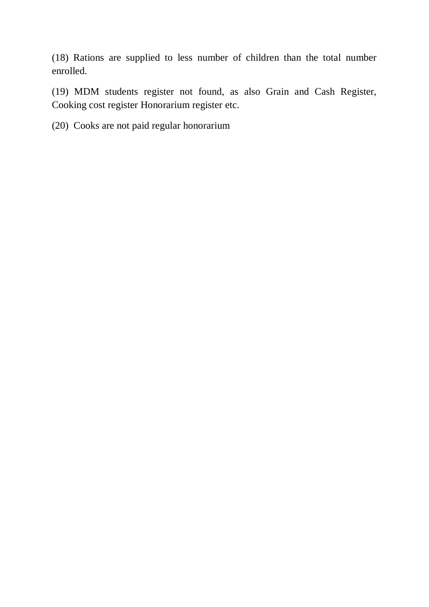(18) Rations are supplied to less number of children than the total number enrolled.

(19) MDM students register not found, as also Grain and Cash Register, Cooking cost register Honorarium register etc.

(20) Cooks are not paid regular honorarium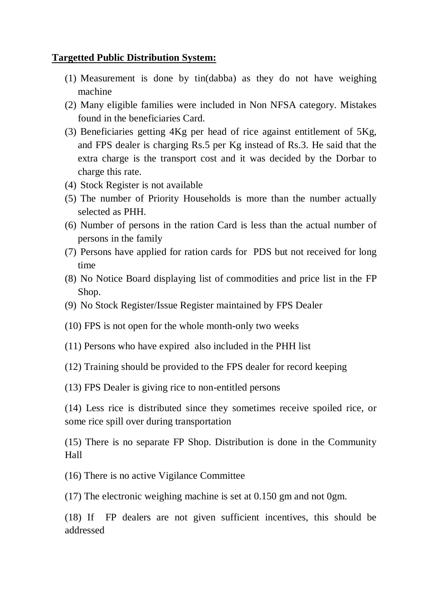#### **Targetted Public Distribution System:**

- (1) Measurement is done by tin(dabba) as they do not have weighing machine
- (2) Many eligible families were included in Non NFSA category. Mistakes found in the beneficiaries Card.
- (3) Beneficiaries getting 4Kg per head of rice against entitlement of 5Kg, and FPS dealer is charging Rs.5 per Kg instead of Rs.3. He said that the extra charge is the transport cost and it was decided by the Dorbar to charge this rate.
- (4) Stock Register is not available
- (5) The number of Priority Households is more than the number actually selected as PHH.
- (6) Number of persons in the ration Card is less than the actual number of persons in the family
- (7) Persons have applied for ration cards for PDS but not received for long time
- (8) No Notice Board displaying list of commodities and price list in the FP Shop.
- (9) No Stock Register/Issue Register maintained by FPS Dealer
- (10) FPS is not open for the whole month-only two weeks
- (11) Persons who have expired also included in the PHH list
- (12) Training should be provided to the FPS dealer for record keeping
- (13) FPS Dealer is giving rice to non-entitled persons

(14) Less rice is distributed since they sometimes receive spoiled rice, or some rice spill over during transportation

(15) There is no separate FP Shop. Distribution is done in the Community Hall

(16) There is no active Vigilance Committee

(17) The electronic weighing machine is set at 0.150 gm and not 0gm.

(18) If FP dealers are not given sufficient incentives, this should be addressed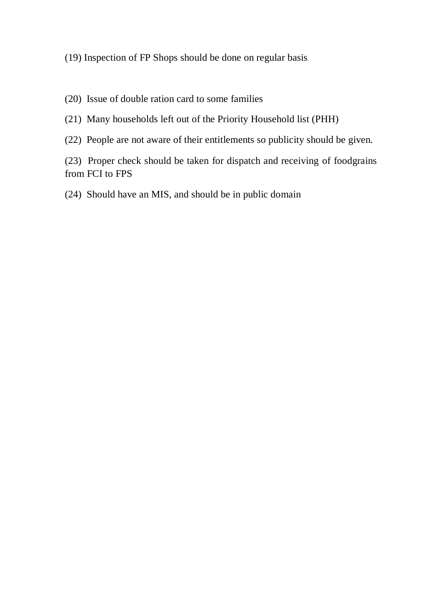#### (19) Inspection of FP Shops should be done on regular basis

- (20) Issue of double ration card to some families
- (21) Many households left out of the Priority Household list (PHH)
- (22) People are not aware of their entitlements so publicity should be given.

(23) Proper check should be taken for dispatch and receiving of foodgrains from FCI to FPS

(24) Should have an MIS, and should be in public domain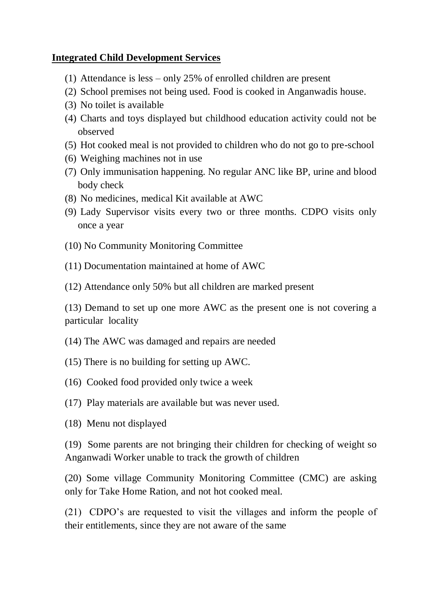### **Integrated Child Development Services**

- (1) Attendance is less only 25% of enrolled children are present
- (2) School premises not being used. Food is cooked in Anganwadis house.
- (3) No toilet is available
- (4) Charts and toys displayed but childhood education activity could not be observed
- (5) Hot cooked meal is not provided to children who do not go to pre-school
- (6) Weighing machines not in use
- (7) Only immunisation happening. No regular ANC like BP, urine and blood body check
- (8) No medicines, medical Kit available at AWC
- (9) Lady Supervisor visits every two or three months. CDPO visits only once a year
- (10) No Community Monitoring Committee
- (11) Documentation maintained at home of AWC
- (12) Attendance only 50% but all children are marked present

(13) Demand to set up one more AWC as the present one is not covering a particular locality

- (14) The AWC was damaged and repairs are needed
- (15) There is no building for setting up AWC.
- (16) Cooked food provided only twice a week
- (17) Play materials are available but was never used.
- (18) Menu not displayed

(19) Some parents are not bringing their children for checking of weight so Anganwadi Worker unable to track the growth of children

(20) Some village Community Monitoring Committee (CMC) are asking only for Take Home Ration, and not hot cooked meal.

(21) CDPO's are requested to visit the villages and inform the people of their entitlements, since they are not aware of the same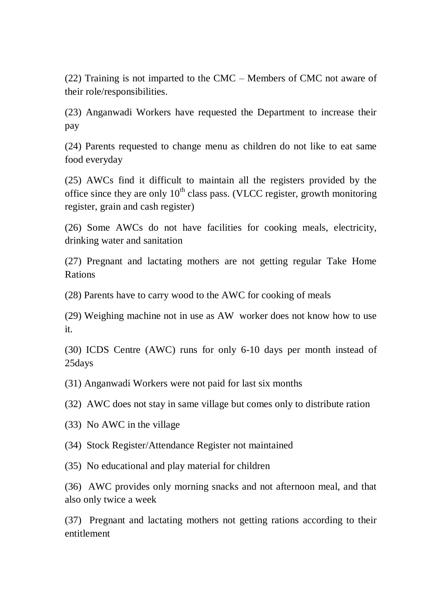(22) Training is not imparted to the CMC – Members of CMC not aware of their role/responsibilities.

(23) Anganwadi Workers have requested the Department to increase their pay

(24) Parents requested to change menu as children do not like to eat same food everyday

(25) AWCs find it difficult to maintain all the registers provided by the office since they are only  $10^{th}$  class pass. (VLCC register, growth monitoring register, grain and cash register)

(26) Some AWCs do not have facilities for cooking meals, electricity, drinking water and sanitation

(27) Pregnant and lactating mothers are not getting regular Take Home Rations

(28) Parents have to carry wood to the AWC for cooking of meals

(29) Weighing machine not in use as AW worker does not know how to use it.

(30) ICDS Centre (AWC) runs for only 6-10 days per month instead of 25days

(31) Anganwadi Workers were not paid for last six months

(32) AWC does not stay in same village but comes only to distribute ration

(33) No AWC in the village

(34) Stock Register/Attendance Register not maintained

(35) No educational and play material for children

(36) AWC provides only morning snacks and not afternoon meal, and that also only twice a week

(37) Pregnant and lactating mothers not getting rations according to their entitlement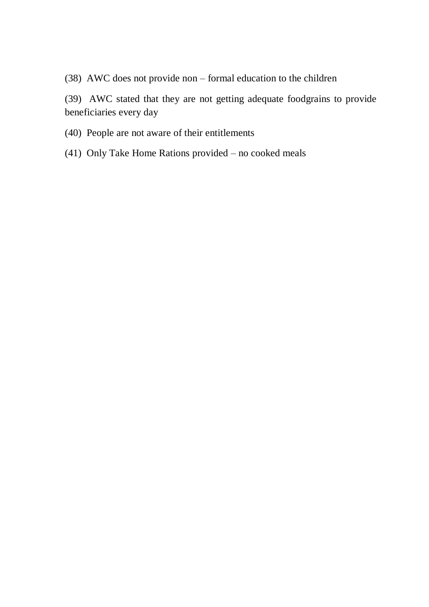(38) AWC does not provide non – formal education to the children

(39) AWC stated that they are not getting adequate foodgrains to provide beneficiaries every day

- (40) People are not aware of their entitlements
- (41) Only Take Home Rations provided no cooked meals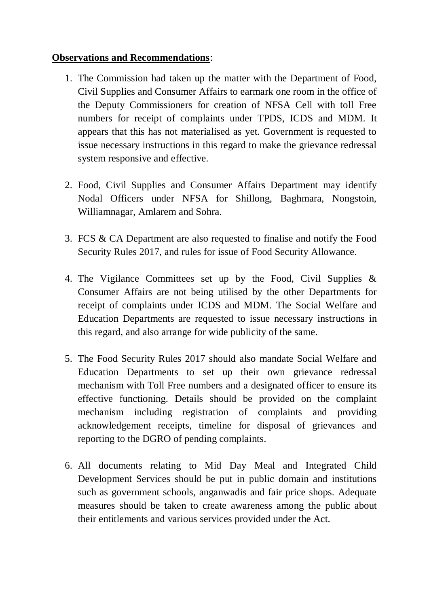#### **Observations and Recommendations**:

- 1. The Commission had taken up the matter with the Department of Food, Civil Supplies and Consumer Affairs to earmark one room in the office of the Deputy Commissioners for creation of NFSA Cell with toll Free numbers for receipt of complaints under TPDS, ICDS and MDM. It appears that this has not materialised as yet. Government is requested to issue necessary instructions in this regard to make the grievance redressal system responsive and effective.
- 2. Food, Civil Supplies and Consumer Affairs Department may identify Nodal Officers under NFSA for Shillong, Baghmara, Nongstoin, Williamnagar, Amlarem and Sohra.
- 3. FCS & CA Department are also requested to finalise and notify the Food Security Rules 2017, and rules for issue of Food Security Allowance.
- 4. The Vigilance Committees set up by the Food, Civil Supplies & Consumer Affairs are not being utilised by the other Departments for receipt of complaints under ICDS and MDM. The Social Welfare and Education Departments are requested to issue necessary instructions in this regard, and also arrange for wide publicity of the same.
- 5. The Food Security Rules 2017 should also mandate Social Welfare and Education Departments to set up their own grievance redressal mechanism with Toll Free numbers and a designated officer to ensure its effective functioning. Details should be provided on the complaint mechanism including registration of complaints and providing acknowledgement receipts, timeline for disposal of grievances and reporting to the DGRO of pending complaints.
- 6. All documents relating to Mid Day Meal and Integrated Child Development Services should be put in public domain and institutions such as government schools, anganwadis and fair price shops. Adequate measures should be taken to create awareness among the public about their entitlements and various services provided under the Act.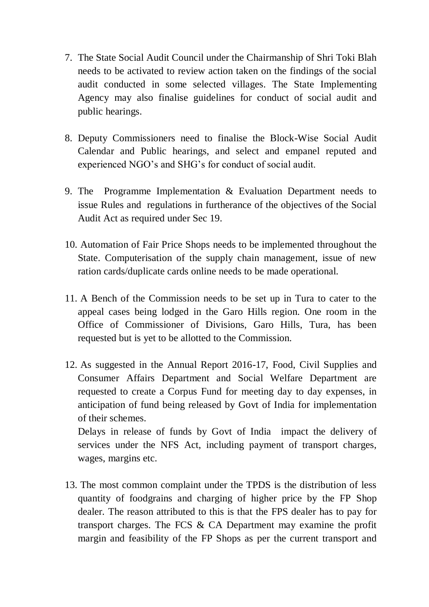- 7. The State Social Audit Council under the Chairmanship of Shri Toki Blah needs to be activated to review action taken on the findings of the social audit conducted in some selected villages. The State Implementing Agency may also finalise guidelines for conduct of social audit and public hearings.
- 8. Deputy Commissioners need to finalise the Block-Wise Social Audit Calendar and Public hearings, and select and empanel reputed and experienced NGO's and SHG's for conduct of social audit.
- 9. The Programme Implementation & Evaluation Department needs to issue Rules and regulations in furtherance of the objectives of the Social Audit Act as required under Sec 19.
- 10. Automation of Fair Price Shops needs to be implemented throughout the State. Computerisation of the supply chain management, issue of new ration cards/duplicate cards online needs to be made operational.
- 11. A Bench of the Commission needs to be set up in Tura to cater to the appeal cases being lodged in the Garo Hills region. One room in the Office of Commissioner of Divisions, Garo Hills, Tura, has been requested but is yet to be allotted to the Commission.
- 12. As suggested in the Annual Report 2016-17, Food, Civil Supplies and Consumer Affairs Department and Social Welfare Department are requested to create a Corpus Fund for meeting day to day expenses, in anticipation of fund being released by Govt of India for implementation of their schemes.

Delays in release of funds by Govt of India impact the delivery of services under the NFS Act, including payment of transport charges, wages, margins etc.

13. The most common complaint under the TPDS is the distribution of less quantity of foodgrains and charging of higher price by the FP Shop dealer. The reason attributed to this is that the FPS dealer has to pay for transport charges. The FCS & CA Department may examine the profit margin and feasibility of the FP Shops as per the current transport and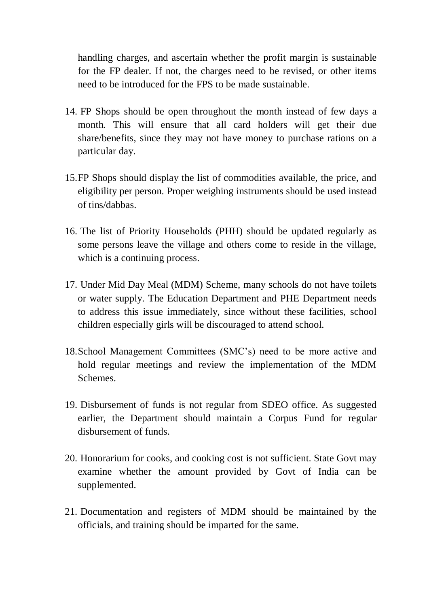handling charges, and ascertain whether the profit margin is sustainable for the FP dealer. If not, the charges need to be revised, or other items need to be introduced for the FPS to be made sustainable.

- 14. FP Shops should be open throughout the month instead of few days a month. This will ensure that all card holders will get their due share/benefits, since they may not have money to purchase rations on a particular day.
- 15.FP Shops should display the list of commodities available, the price, and eligibility per person. Proper weighing instruments should be used instead of tins/dabbas.
- 16. The list of Priority Households (PHH) should be updated regularly as some persons leave the village and others come to reside in the village, which is a continuing process.
- 17. Under Mid Day Meal (MDM) Scheme, many schools do not have toilets or water supply. The Education Department and PHE Department needs to address this issue immediately, since without these facilities, school children especially girls will be discouraged to attend school.
- 18.School Management Committees (SMC's) need to be more active and hold regular meetings and review the implementation of the MDM Schemes.
- 19. Disbursement of funds is not regular from SDEO office. As suggested earlier, the Department should maintain a Corpus Fund for regular disbursement of funds.
- 20. Honorarium for cooks, and cooking cost is not sufficient. State Govt may examine whether the amount provided by Govt of India can be supplemented.
- 21. Documentation and registers of MDM should be maintained by the officials, and training should be imparted for the same.